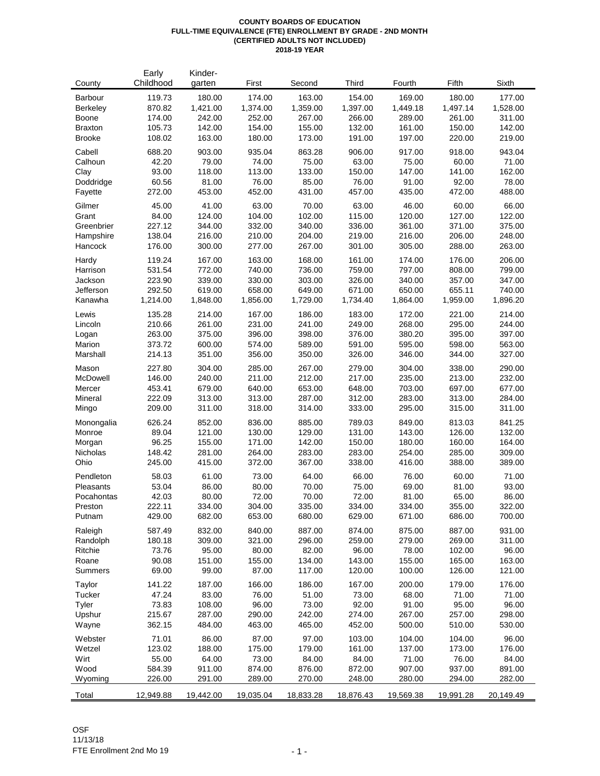#### **COUNTY BOARDS OF EDUCATION FULL-TIME EQUIVALENCE (FTE) ENROLLMENT BY GRADE - 2ND MONTH (CERTIFIED ADULTS NOT INCLUDED) 2018-19 YEAR**

|                    | Early            | Kinder-          |                  |                  |                  |                  |                  |                  |
|--------------------|------------------|------------------|------------------|------------------|------------------|------------------|------------------|------------------|
| County             | Childhood        | garten           | First            | Second           | Third            | Fourth           | Fifth            | Sixth            |
| Barbour            | 119.73           | 180.00           | 174.00           | 163.00           | 154.00           | 169.00           | 180.00           | 177.00           |
| <b>Berkeley</b>    | 870.82           | 1,421.00         | 1,374.00         | 1,359.00         | 1,397.00         | 1,449.18         | 1,497.14         | 1,528.00         |
| <b>Boone</b>       | 174.00           | 242.00           | 252.00           | 267.00           | 266.00           | 289.00           | 261.00           | 311.00           |
| <b>Braxton</b>     | 105.73           | 142.00           | 154.00           | 155.00           | 132.00           | 161.00           | 150.00           | 142.00           |
| <b>Brooke</b>      | 108.02           | 163.00           | 180.00           | 173.00           | 191.00           | 197.00           | 220.00           | 219.00           |
| Cabell             | 688.20           | 903.00           | 935.04           | 863.28           | 906.00           | 917.00           | 918.00           | 943.04           |
| Calhoun            | 42.20            | 79.00            | 74.00            | 75.00            | 63.00            | 75.00            | 60.00            | 71.00            |
| Clay               | 93.00            | 118.00           | 113.00           | 133.00           | 150.00           | 147.00           | 141.00           | 162.00           |
| Doddridge          | 60.56            | 81.00            | 76.00            | 85.00            | 76.00            | 91.00            | 92.00            | 78.00            |
| Fayette            | 272.00           | 453.00           | 452.00           | 431.00           | 457.00           | 435.00           | 472.00           | 488.00           |
| Gilmer             | 45.00            | 41.00            | 63.00            | 70.00            | 63.00            | 46.00            | 60.00            | 66.00            |
| Grant              | 84.00            | 124.00           | 104.00           | 102.00           | 115.00           | 120.00           | 127.00           | 122.00           |
| Greenbrier         | 227.12           | 344.00           | 332.00           | 340.00           | 336.00           | 361.00           | 371.00           | 375.00           |
| Hampshire          | 138.04           | 216.00           | 210.00           | 204.00           | 219.00           | 216.00           | 206.00           | 248.00           |
| Hancock            | 176.00           | 300.00           | 277.00           | 267.00           | 301.00           | 305.00           | 288.00           | 263.00           |
| Hardy              | 119.24           | 167.00           | 163.00           | 168.00           | 161.00           | 174.00           | 176.00           | 206.00           |
| Harrison           | 531.54           | 772.00           | 740.00           | 736.00           | 759.00           | 797.00           | 808.00           | 799.00           |
| Jackson            | 223.90           | 339.00           | 330.00           | 303.00           | 326.00           | 340.00           | 357.00           | 347.00           |
| Jefferson          | 292.50           | 619.00           | 658.00           | 649.00           | 671.00           | 650.00           | 655.11           | 740.00           |
| Kanawha            | 1,214.00         | 1,848.00         | 1,856.00         | 1,729.00         | 1,734.40         | 1,864.00         | 1,959.00         | 1,896.20         |
| Lewis              | 135.28           | 214.00           | 167.00           | 186.00           | 183.00           | 172.00           | 221.00           | 214.00           |
| Lincoln            | 210.66           | 261.00           | 231.00           | 241.00           | 249.00           | 268.00           | 295.00           | 244.00           |
| Logan              | 263.00           | 375.00           | 396.00           | 398.00           | 376.00           | 380.20           | 395.00           | 397.00           |
| Marion             | 373.72           | 600.00           | 574.00           | 589.00           | 591.00           | 595.00           | 598.00           | 563.00           |
| Marshall           | 214.13           | 351.00           | 356.00           | 350.00           | 326.00           | 346.00           | 344.00           | 327.00           |
|                    |                  |                  |                  |                  |                  |                  |                  |                  |
| Mason              | 227.80<br>146.00 | 304.00<br>240.00 | 285.00           | 267.00<br>212.00 | 279.00           | 304.00           | 338.00           | 290.00           |
| McDowell           | 453.41           | 679.00           | 211.00<br>640.00 | 653.00           | 217.00           | 235.00<br>703.00 | 213.00<br>697.00 | 232.00<br>677.00 |
| Mercer<br>Mineral  | 222.09           | 313.00           | 313.00           | 287.00           | 648.00<br>312.00 | 283.00           | 313.00           | 284.00           |
| Mingo              | 209.00           | 311.00           | 318.00           | 314.00           | 333.00           | 295.00           | 315.00           | 311.00           |
|                    |                  |                  |                  |                  |                  |                  |                  |                  |
| Monongalia         | 626.24           | 852.00           | 836.00           | 885.00           | 789.03           | 849.00           | 813.03           | 841.25           |
| Monroe             | 89.04            | 121.00           | 130.00           | 129.00           | 131.00           | 143.00           | 126.00           | 132.00           |
| Morgan<br>Nicholas | 96.25<br>148.42  | 155.00<br>281.00 | 171.00<br>264.00 | 142.00<br>283.00 | 150.00<br>283.00 | 180.00<br>254.00 | 160.00<br>285.00 | 164.00<br>309.00 |
| Ohio               | 245.00           | 415.00           | 372.00           | 367.00           | 338.00           | 416.00           | 388.00           | 389.00           |
|                    |                  |                  |                  |                  |                  |                  |                  |                  |
| Pendleton          | 58.03            | 61.00            | 73.00            | 64.00            | 66.00            | 76.00            | 60.00            | 71.00            |
| Pleasants          | 53.04            | 86.00            | 80.00            | 70.00            | 75.00            | 69.00            | 81.00            | 93.00            |
| Pocahontas         | 42.03            | 80.00            | 72.00            | 70.00            | 72.00            | 81.00            | 65.00            | 86.00            |
| Preston            | 222.11           | 334.00           | 304.00           | 335.00           | 334.00           | 334.00           | 355.00           | 322.00           |
| Putnam             | 429.00           | 682.00           | 653.00           | 680.00           | 629.00           | 671.00           | 686.00           | 700.00           |
| Raleigh            | 587.49           | 832.00           | 840.00           | 887.00           | 874.00           | 875.00           | 887.00           | 931.00           |
| Randolph           | 180.18           | 309.00           | 321.00           | 296.00           | 259.00           | 279.00           | 269.00           | 311.00           |
| Ritchie            | 73.76            | 95.00            | 80.00            | 82.00            | 96.00            | 78.00            | 102.00           | 96.00            |
| Roane              | 90.08            | 151.00           | 155.00           | 134.00           | 143.00           | 155.00           | 165.00           | 163.00           |
| Summers            | 69.00            | 99.00            | 87.00            | 117.00           | 120.00           | 100.00           | 126.00           | 121.00           |
| Taylor             | 141.22           | 187.00           | 166.00           | 186.00           | 167.00           | 200.00           | 179.00           | 176.00           |
| Tucker             | 47.24            | 83.00            | 76.00            | 51.00            | 73.00            | 68.00            | 71.00            | 71.00            |
| Tyler              | 73.83            | 108.00           | 96.00            | 73.00            | 92.00            | 91.00            | 95.00            | 96.00            |
| Upshur             | 215.67           | 287.00           | 290.00           | 242.00           | 274.00           | 267.00           | 257.00           | 298.00           |
| Wayne              | 362.15           | 484.00           | 463.00           | 465.00           | 452.00           | 500.00           | 510.00           | 530.00           |
| Webster            | 71.01            | 86.00            | 87.00            | 97.00            | 103.00           | 104.00           | 104.00           | 96.00            |
| Wetzel             | 123.02           | 188.00           | 175.00           | 179.00           | 161.00           | 137.00           | 173.00           | 176.00           |
| Wirt               | 55.00            | 64.00            | 73.00            | 84.00            | 84.00            | 71.00            | 76.00            | 84.00            |
| Wood               | 584.39           | 911.00           | 874.00           | 876.00           | 872.00           | 907.00           | 937.00           | 891.00           |
| Wyoming            | 226.00           | 291.00           | 289.00           | 270.00           | 248.00           | 280.00           | 294.00           | 282.00           |
| Total              | 12,949.88        | 19,442.00        | 19,035.04        | 18,833.28        | 18,876.43        | 19,569.38        | 19,991.28        | 20,149.49        |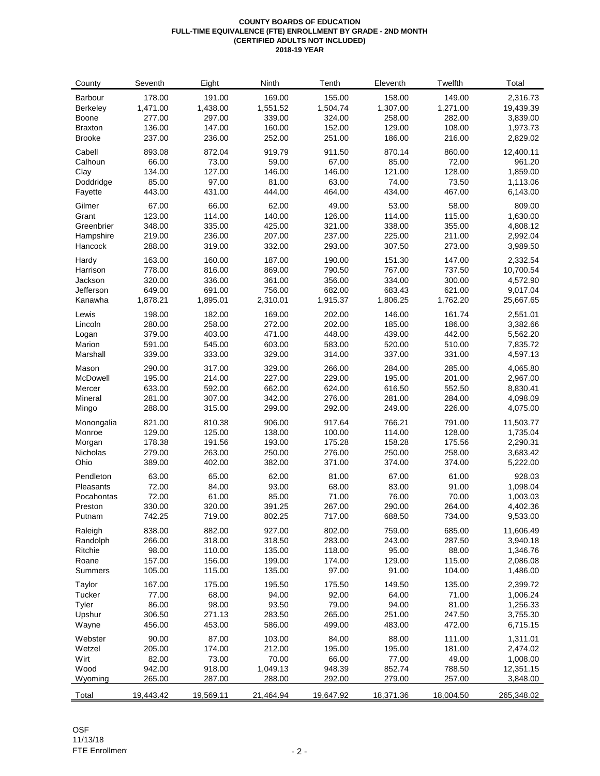#### **COUNTY BOARDS OF EDUCATION FULL-TIME EQUIVALENCE (FTE) ENROLLMENT BY GRADE - 2ND MONTH (CERTIFIED ADULTS NOT INCLUDED) 2018-19 YEAR**

| County           | Seventh          | Eight            | Ninth            | Tenth           | Eleventh        | Twelfth          | Total                |
|------------------|------------------|------------------|------------------|-----------------|-----------------|------------------|----------------------|
| Barbour          | 178.00           | 191.00           | 169.00           | 155.00          | 158.00          | 149.00           | 2,316.73             |
| Berkeley         | 1,471.00         | 1,438.00         | 1,551.52         | 1,504.74        | 1,307.00        | 1,271.00         | 19,439.39            |
| Boone            | 277.00           | 297.00           | 339.00           | 324.00          | 258.00          | 282.00           | 3,839.00             |
| <b>Braxton</b>   | 136.00           | 147.00           | 160.00           | 152.00          | 129.00          | 108.00           | 1,973.73             |
| <b>Brooke</b>    | 237.00           | 236.00           | 252.00           | 251.00          | 186.00          | 216.00           | 2,829.02             |
| Cabell           | 893.08           | 872.04           | 919.79           | 911.50          | 870.14          | 860.00           | 12,400.11            |
| Calhoun          | 66.00            | 73.00            | 59.00            | 67.00           | 85.00           | 72.00            | 961.20               |
| Clay             | 134.00           | 127.00           | 146.00           | 146.00          | 121.00          | 128.00           | 1,859.00             |
| Doddridge        | 85.00            | 97.00            | 81.00            | 63.00           | 74.00           | 73.50            | 1,113.06             |
| Fayette          | 443.00           | 431.00           | 444.00           | 464.00          | 434.00          | 467.00           | 6,143.00             |
| Gilmer           | 67.00            | 66.00            | 62.00            | 49.00           | 53.00           | 58.00            | 809.00               |
| Grant            | 123.00           | 114.00           | 140.00           | 126.00          | 114.00          | 115.00           | 1,630.00             |
| Greenbrier       | 348.00           | 335.00           | 425.00           | 321.00          | 338.00          | 355.00           | 4,808.12             |
| Hampshire        | 219.00           | 236.00           | 207.00           | 237.00          | 225.00          | 211.00           | 2,992.04             |
| Hancock          | 288.00           | 319.00           | 332.00           | 293.00          | 307.50          | 273.00           | 3,989.50             |
| Hardy            | 163.00           | 160.00           | 187.00           | 190.00          | 151.30          | 147.00           | 2,332.54             |
| Harrison         | 778.00           | 816.00           | 869.00           | 790.50          | 767.00          | 737.50           | 10,700.54            |
| Jackson          | 320.00           | 336.00           | 361.00           | 356.00          | 334.00          | 300.00           | 4,572.90             |
| Jefferson        | 649.00           | 691.00           | 756.00           | 682.00          | 683.43          | 621.00           | 9,017.04             |
| Kanawha          | 1,878.21         | 1,895.01         | 2,310.01         | 1,915.37        | 1,806.25        | 1,762.20         | 25,667.65            |
| Lewis            | 198.00           | 182.00           | 169.00           | 202.00          | 146.00          | 161.74           | 2,551.01             |
| Lincoln          | 280.00           | 258.00           | 272.00           | 202.00          | 185.00          | 186.00           | 3,382.66             |
| Logan            | 379.00           | 403.00           | 471.00           | 448.00          | 439.00          | 442.00           | 5,562.20             |
| Marion           | 591.00           | 545.00           | 603.00           | 583.00          | 520.00          | 510.00           | 7,835.72             |
| Marshall         | 339.00           | 333.00           | 329.00           | 314.00          | 337.00          | 331.00           | 4,597.13             |
| Mason            | 290.00           | 317.00           | 329.00           | 266.00          | 284.00          | 285.00           | 4,065.80             |
| McDowell         | 195.00           | 214.00           | 227.00           | 229.00          | 195.00          | 201.00           | 2,967.00             |
| Mercer           | 633.00           | 592.00           | 662.00           | 624.00          | 616.50          | 552.50           | 8,830.41             |
| Mineral          | 281.00           | 307.00           | 342.00           | 276.00          | 281.00          | 284.00           | 4,098.09             |
| Mingo            | 288.00           | 315.00           | 299.00           | 292.00          | 249.00          | 226.00           | 4,075.00             |
| Monongalia       | 821.00           | 810.38           | 906.00           | 917.64          | 766.21          | 791.00           | 11,503.77            |
| Monroe           | 129.00           | 125.00           | 138.00           | 100.00          | 114.00          | 128.00           | 1,735.04             |
| Morgan           | 178.38           | 191.56           | 193.00           | 175.28          | 158.28          | 175.56           | 2,290.31             |
| Nicholas         | 279.00           | 263.00           | 250.00           | 276.00          | 250.00          | 258.00           | 3,683.42             |
| Ohio             | 389.00           | 402.00           | 382.00           | 371.00          | 374.00          | 374.00           | 5,222.00             |
| Pendleton        | 63.00            | 65.00            | 62.00            | 81.00           | 67.00           | 61.00            | 928.03               |
| Pleasants        | 72.00            | 84.00            | 93.00            | 68.00           | 83.00           | 91.00            | 1,098.04             |
| Pocahontas       | 72.00            | 61.00            | 85.00<br>391.25  | 71.00<br>267.00 | 76.00<br>290.00 | 70.00            | 1,003.03<br>4,402.36 |
| Preston          | 330.00           | 320.00<br>719.00 | 802.25           |                 | 688.50          | 264.00<br>734.00 | 9,533.00             |
| Putnam           | 742.25           |                  |                  | 717.00          |                 |                  |                      |
| Raleigh          | 838.00           | 882.00           | 927.00           | 802.00          | 759.00          | 685.00           | 11,606.49            |
| Randolph         | 266.00           | 318.00           | 318.50           | 283.00          | 243.00          | 287.50           | 3,940.18             |
| Ritchie          | 98.00            | 110.00           | 135.00<br>199.00 | 118.00          | 95.00           | 88.00            | 1,346.76             |
| Roane<br>Summers | 157.00<br>105.00 | 156.00<br>115.00 | 135.00           | 174.00<br>97.00 | 129.00<br>91.00 | 115.00<br>104.00 | 2,086.08<br>1,486.00 |
| Taylor           | 167.00           | 175.00           | 195.50           | 175.50          | 149.50          | 135.00           | 2,399.72             |
| Tucker           | 77.00            | 68.00            | 94.00            | 92.00           | 64.00           | 71.00            | 1,006.24             |
| Tyler            | 86.00            | 98.00            | 93.50            | 79.00           | 94.00           | 81.00            | 1,256.33             |
| Upshur           | 306.50           | 271.13           | 283.50           | 265.00          | 251.00          | 247.50           | 3,755.30             |
| Wayne            | 456.00           | 453.00           | 586.00           | 499.00          | 483.00          | 472.00           | 6,715.15             |
| Webster          | 90.00            | 87.00            | 103.00           | 84.00           | 88.00           | 111.00           | 1,311.01             |
| Wetzel           | 205.00           | 174.00           | 212.00           | 195.00          | 195.00          | 181.00           | 2,474.02             |
| Wirt             | 82.00            | 73.00            | 70.00            | 66.00           | 77.00           | 49.00            | 1,008.00             |
| Wood             | 942.00           | 918.00           | 1,049.13         | 948.39          | 852.74          | 788.50           | 12,351.15            |
| Wyoming          | 265.00           | 287.00           | 288.00           | 292.00          | 279.00          | 257.00           | 3,848.00             |
| Total            | 19,443.42        | 19,569.11        | 21,464.94        | 19,647.92       | 18,371.36       | 18,004.50        | 265,348.02           |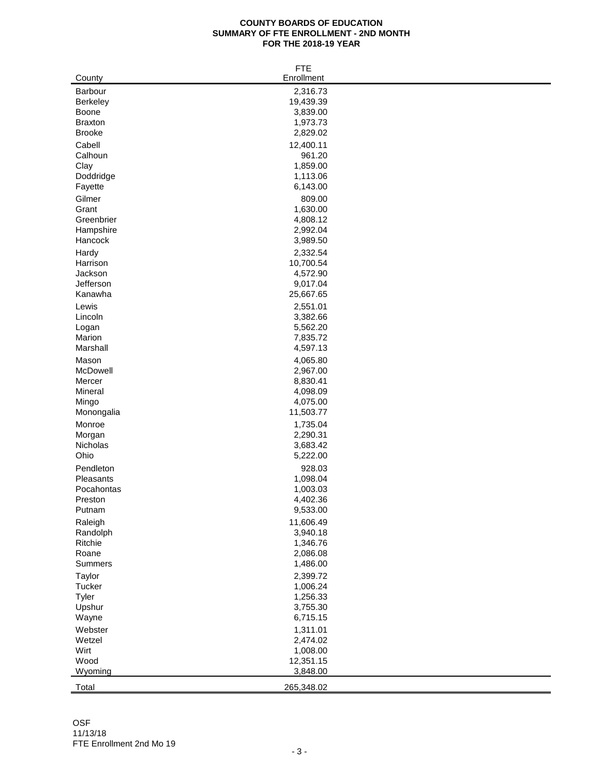#### **COUNTY BOARDS OF EDUCATION SUMMARY OF FTE ENROLLMENT - 2ND MONTH FOR THE 2018-19 YEAR**

|                      | <b>FTE</b>           |
|----------------------|----------------------|
| County               | Enrollment           |
| Barbour              | 2,316.73             |
| Berkeley             | 19,439.39            |
| Boone                | 3,839.00             |
| <b>Braxton</b>       | 1,973.73             |
| <b>Brooke</b>        | 2,829.02             |
| Cabell               | 12,400.11            |
| Calhoun              | 961.20               |
| Clay                 | 1,859.00             |
| Doddridge            | 1,113.06             |
| Fayette              | 6,143.00             |
| Gilmer               | 809.00               |
| Grant                | 1,630.00             |
| Greenbrier           | 4,808.12             |
| Hampshire            | 2,992.04             |
| Hancock              | 3,989.50             |
|                      |                      |
| Hardy                | 2,332.54             |
| Harrison             | 10,700.54            |
| Jackson<br>Jefferson | 4,572.90<br>9,017.04 |
| Kanawha              | 25,667.65            |
|                      |                      |
| Lewis                | 2,551.01             |
| Lincoln              | 3,382.66             |
| Logan                | 5,562.20<br>7,835.72 |
| Marion<br>Marshall   | 4,597.13             |
|                      |                      |
| Mason                | 4,065.80             |
| McDowell             | 2,967.00             |
| Mercer               | 8,830.41             |
| Mineral              | 4,098.09             |
| Mingo                | 4,075.00             |
| Monongalia           | 11,503.77            |
| Monroe               | 1,735.04             |
| Morgan               | 2,290.31             |
| Nicholas             | 3,683.42             |
| Ohio                 | 5,222.00             |
| Pendleton            | 928.03               |
| Pleasants            | 1,098.04             |
| Pocahontas           | 1,003.03             |
| Preston              | 4,402.36             |
| Putnam               | 9,533.00             |
| Raleigh              | 11,606.49            |
| Randolph             | 3,940.18             |
| Ritchie              | 1,346.76             |
| Roane                | 2,086.08             |
| Summers              | 1,486.00             |
| Taylor               | 2,399.72             |
| Tucker               | 1,006.24             |
| Tyler                | 1,256.33             |
| Upshur               | 3,755.30             |
| Wayne                | 6,715.15             |
| Webster              | 1,311.01             |
| Wetzel               | 2,474.02             |
| Wirt                 | 1,008.00             |
| Wood                 | 12,351.15            |
| Wyoming              | 3,848.00             |
| Total                | 265,348.02           |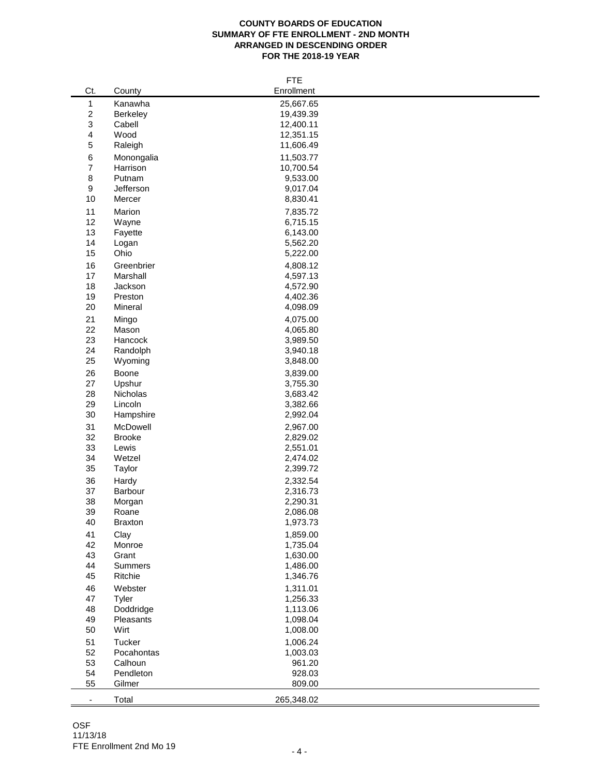## **COUNTY BOARDS OF EDUCATION SUMMARY OF FTE ENROLLMENT - 2ND MONTH ARRANGED IN DESCENDING ORDER FOR THE 2018-19 YEAR**

|                          |                | <b>FTE</b> |
|--------------------------|----------------|------------|
| Ct.                      | County         | Enrollment |
| $\mathbf{1}$             | Kanawha        | 25,667.65  |
| 2                        | Berkeley       | 19,439.39  |
| 3                        | Cabell         | 12,400.11  |
|                          | Wood           | 12,351.15  |
| 4                        |                |            |
| 5                        | Raleigh        | 11,606.49  |
| 6                        | Monongalia     | 11,503.77  |
| $\overline{7}$           | Harrison       | 10,700.54  |
| 8                        | Putnam         | 9,533.00   |
| 9                        | Jefferson      | 9,017.04   |
| 10                       | Mercer         | 8,830.41   |
| 11                       | Marion         | 7,835.72   |
| 12                       | Wayne          | 6,715.15   |
| 13                       | Fayette        | 6,143.00   |
| 14                       | Logan          | 5,562.20   |
|                          |                |            |
| 15                       | Ohio           | 5,222.00   |
| 16                       | Greenbrier     | 4,808.12   |
| 17                       | Marshall       | 4,597.13   |
| 18                       | Jackson        | 4,572.90   |
| 19                       | Preston        | 4,402.36   |
| 20                       | Mineral        | 4,098.09   |
| 21                       | Mingo          | 4,075.00   |
| 22                       | Mason          | 4,065.80   |
| 23                       | Hancock        | 3,989.50   |
| 24                       | Randolph       | 3,940.18   |
| 25                       | Wyoming        | 3,848.00   |
|                          |                |            |
| 26                       | Boone          | 3,839.00   |
| 27                       | Upshur         | 3,755.30   |
| 28                       | Nicholas       | 3,683.42   |
| 29                       | Lincoln        | 3,382.66   |
| 30                       | Hampshire      | 2,992.04   |
| 31                       | McDowell       | 2,967.00   |
| 32                       | <b>Brooke</b>  | 2,829.02   |
| 33                       | Lewis          | 2,551.01   |
| 34                       | Wetzel         | 2,474.02   |
| 35                       | Taylor         | 2,399.72   |
|                          |                |            |
| 36                       | Hardy          | 2,332.54   |
| 37                       | Barbour        | 2,316.73   |
| 38                       | Morgan         | 2,290.31   |
| 39                       | Roane          | 2,086.08   |
| 40                       | <b>Braxton</b> | 1,973.73   |
| 41                       | Clay           | 1,859.00   |
| 42                       | Monroe         | 1,735.04   |
| 43                       | Grant          | 1,630.00   |
| 44                       | <b>Summers</b> | 1,486.00   |
| 45                       | Ritchie        | 1,346.76   |
|                          |                |            |
| 46                       | Webster        | 1,311.01   |
| 47                       | Tyler          | 1,256.33   |
| 48                       | Doddridge      | 1,113.06   |
| 49                       | Pleasants      | 1,098.04   |
| 50                       | Wirt           | 1,008.00   |
| 51                       | Tucker         | 1,006.24   |
| 52                       | Pocahontas     | 1,003.03   |
| 53                       | Calhoun        | 961.20     |
| 54                       | Pendleton      | 928.03     |
| 55                       | Gilmer         | 809.00     |
|                          |                |            |
| $\overline{\phantom{a}}$ | Total          | 265,348.02 |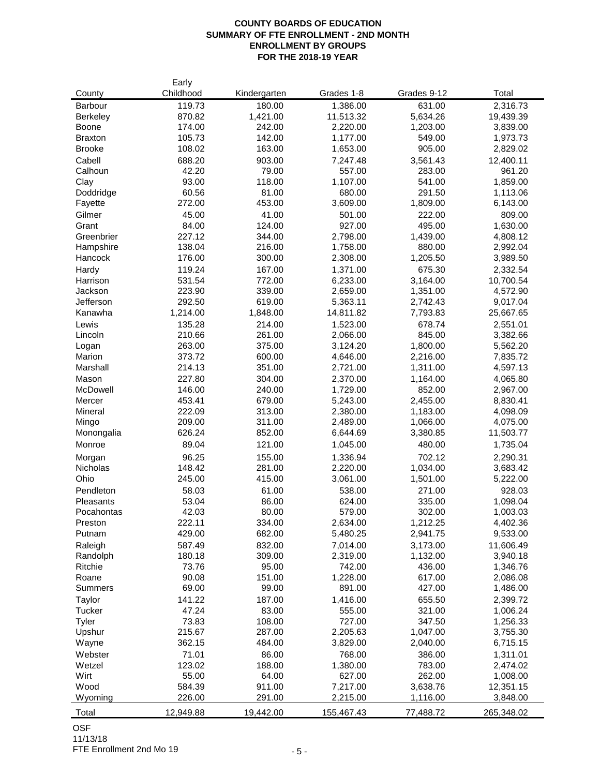# **COUNTY BOARDS OF EDUCATION SUMMARY OF FTE ENROLLMENT - 2ND MONTH ENROLLMENT BY GROUPS FOR THE 2018-19 YEAR**

|                 | Early            |                 |                      |                      |                       |
|-----------------|------------------|-----------------|----------------------|----------------------|-----------------------|
| County          | Childhood        | Kindergarten    | Grades 1-8           | Grades 9-12          | Total                 |
| Barbour         | 119.73           | 180.00          | 1,386.00             | 631.00               | 2,316.73              |
| <b>Berkeley</b> | 870.82           | 1,421.00        | 11,513.32            | 5,634.26             | 19,439.39             |
| Boone           | 174.00           | 242.00          | 2,220.00             | 1,203.00             | 3,839.00              |
| <b>Braxton</b>  | 105.73           | 142.00          | 1,177.00             | 549.00               | 1,973.73              |
| <b>Brooke</b>   | 108.02           | 163.00          | 1,653.00             | 905.00               | 2,829.02              |
| Cabell          | 688.20           | 903.00          | 7,247.48             | 3,561.43             | 12,400.11             |
| Calhoun         | 42.20            | 79.00           | 557.00               | 283.00               | 961.20                |
| Clay            | 93.00            | 118.00          | 1,107.00             | 541.00               | 1,859.00              |
| Doddridge       | 60.56            | 81.00           | 680.00               | 291.50               | 1,113.06              |
| Fayette         | 272.00           | 453.00          | 3,609.00             | 1,809.00             | 6,143.00              |
| Gilmer          | 45.00            | 41.00           | 501.00               | 222.00               | 809.00                |
| Grant           | 84.00            | 124.00          | 927.00               | 495.00               | 1,630.00              |
| Greenbrier      | 227.12           | 344.00          | 2,798.00             | 1,439.00             | 4,808.12              |
| Hampshire       | 138.04           | 216.00          | 1,758.00             | 880.00               | 2,992.04              |
| Hancock         | 176.00           | 300.00          | 2,308.00             | 1,205.50             | 3,989.50              |
| Hardy           | 119.24           | 167.00          | 1,371.00             | 675.30               | 2,332.54              |
| Harrison        | 531.54           | 772.00          | 6,233.00             | 3,164.00             | 10,700.54             |
| Jackson         | 223.90           | 339.00          | 2,659.00             | 1,351.00             | 4,572.90              |
| Jefferson       | 292.50           | 619.00          | 5,363.11             | 2,742.43             | 9,017.04              |
| Kanawha         | 1,214.00         | 1,848.00        | 14,811.82            | 7,793.83             | 25,667.65             |
| Lewis           | 135.28           | 214.00          | 1,523.00             | 678.74               | 2,551.01              |
| Lincoln         | 210.66           | 261.00          | 2,066.00             | 845.00               | 3,382.66              |
| Logan           | 263.00           | 375.00          | 3,124.20             | 1,800.00             | 5,562.20              |
| Marion          | 373.72           | 600.00          | 4,646.00             | 2,216.00             | 7,835.72              |
| Marshall        | 214.13           | 351.00          | 2,721.00             | 1,311.00             | 4,597.13              |
| Mason           | 227.80           | 304.00          | 2,370.00             | 1,164.00             | 4,065.80              |
| <b>McDowell</b> | 146.00           | 240.00          | 1,729.00             | 852.00               | 2,967.00              |
| Mercer          | 453.41           | 679.00          | 5,243.00             | 2,455.00             | 8,830.41              |
| Mineral         | 222.09           | 313.00          | 2,380.00             | 1,183.00             | 4,098.09              |
| Mingo           | 209.00           | 311.00          | 2,489.00             | 1,066.00             | 4,075.00              |
| Monongalia      | 626.24           | 852.00          | 6,644.69             | 3,380.85             | 11,503.77             |
| Monroe          | 89.04            | 121.00          | 1,045.00             | 480.00               | 1,735.04              |
| Morgan          | 96.25            | 155.00          | 1,336.94             | 702.12               | 2,290.31              |
| Nicholas        | 148.42           | 281.00          | 2,220.00             | 1,034.00             | 3,683.42              |
| Ohio            | 245.00           | 415.00          | 3,061.00             | 1,501.00             | 5,222.00              |
| Pendleton       | 58.03            | 61.00           | 538.00               | 271.00               | 928.03                |
| Pleasants       | 53.04            | 86.00           | 624.00               | 335.00               | 1,098.04              |
| Pocahontas      | 42.03            | 80.00           | 579.00               | 302.00               | 1,003.03              |
| Preston         | 222.11           | 334.00          | 2,634.00             | 1,212.25             | 4,402.36              |
| Putnam          | 429.00           | 682.00          | 5,480.25             | 2,941.75             | 9,533.00              |
| Raleigh         | 587.49           | 832.00          | 7,014.00             | 3,173.00             | 11,606.49             |
| Randolph        | 180.18           | 309.00          | 2,319.00             | 1,132.00             | 3,940.18              |
| Ritchie         | 73.76            | 95.00           | 742.00               | 436.00               | 1,346.76              |
| Roane           | 90.08            | 151.00          | 1,228.00             | 617.00               | 2,086.08              |
| Summers         | 69.00            | 99.00           | 891.00               | 427.00               | 1,486.00              |
| Taylor          | 141.22           | 187.00          | 1,416.00             | 655.50               | 2,399.72              |
| Tucker          | 47.24            | 83.00           | 555.00               | 321.00               | 1,006.24              |
| Tyler           | 73.83            | 108.00          | 727.00               | 347.50               | 1,256.33              |
| Upshur          | 215.67           | 287.00          | 2,205.63             | 1,047.00             | 3,755.30              |
| Wayne           | 362.15           | 484.00          | 3,829.00             | 2,040.00             | 6,715.15              |
| Webster         | 71.01            |                 | 768.00               |                      |                       |
| Wetzel          | 123.02           | 86.00<br>188.00 | 1,380.00             | 386.00<br>783.00     | 1,311.01              |
| Wirt            | 55.00            |                 |                      | 262.00               | 2,474.02              |
| Wood            |                  | 64.00<br>911.00 | 627.00               |                      | 1,008.00              |
| Wyoming         | 584.39<br>226.00 | 291.00          | 7,217.00<br>2,215.00 | 3,638.76<br>1,116.00 | 12,351.15<br>3,848.00 |
|                 |                  |                 |                      |                      |                       |
| Total           | 12,949.88        | 19,442.00       | 155,467.43           | 77,488.72            | 265,348.02            |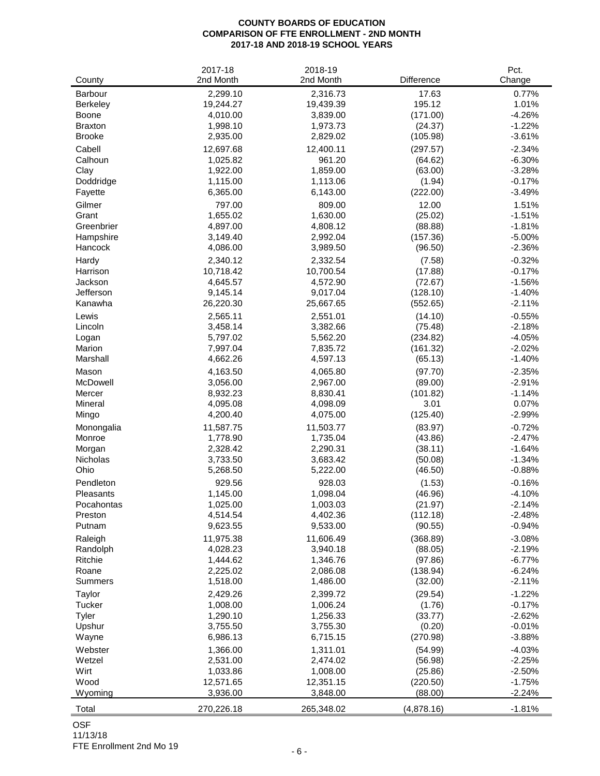#### **COUNTY BOARDS OF EDUCATION COMPARISON OF FTE ENROLLMENT - 2ND MONTH 2017-18 AND 2018-19 SCHOOL YEARS**

| County          | 2017-18<br>2nd Month | 2018-19<br>2nd Month | Difference | Pct.<br>Change |
|-----------------|----------------------|----------------------|------------|----------------|
| <b>Barbour</b>  | 2,299.10             | 2,316.73             | 17.63      | 0.77%          |
| Berkeley        | 19,244.27            | 19,439.39            | 195.12     | 1.01%          |
| Boone           | 4,010.00             | 3,839.00             | (171.00)   | $-4.26%$       |
| <b>Braxton</b>  | 1,998.10             | 1,973.73             | (24.37)    | $-1.22%$       |
| <b>Brooke</b>   | 2,935.00             | 2,829.02             | (105.98)   | $-3.61%$       |
| Cabell          | 12,697.68            | 12,400.11            | (297.57)   | $-2.34%$       |
| Calhoun         | 1,025.82             | 961.20               | (64.62)    | $-6.30%$       |
| Clay            | 1,922.00             | 1,859.00             | (63.00)    | $-3.28%$       |
| Doddridge       | 1,115.00             | 1,113.06             | (1.94)     | $-0.17%$       |
| Fayette         | 6,365.00             | 6,143.00             | (222.00)   | $-3.49%$       |
| Gilmer          | 797.00               | 809.00               | 12.00      | 1.51%          |
| Grant           | 1,655.02             | 1,630.00             | (25.02)    | $-1.51%$       |
| Greenbrier      | 4,897.00             | 4,808.12             | (88.88)    | $-1.81%$       |
| Hampshire       | 3,149.40             | 2,992.04             | (157.36)   | $-5.00%$       |
| Hancock         | 4,086.00             | 3,989.50             | (96.50)    | $-2.36%$       |
| Hardy           | 2,340.12             | 2,332.54             | (7.58)     | $-0.32%$       |
| Harrison        | 10,718.42            | 10,700.54            | (17.88)    | $-0.17%$       |
| Jackson         | 4,645.57             | 4,572.90             | (72.67)    | $-1.56%$       |
| Jefferson       | 9,145.14             | 9,017.04             | (128.10)   | $-1.40%$       |
| Kanawha         | 26,220.30            | 25,667.65            | (552.65)   | $-2.11%$       |
| Lewis           | 2,565.11             | 2,551.01             | (14.10)    | $-0.55%$       |
| Lincoln         | 3,458.14             | 3,382.66             | (75.48)    | $-2.18%$       |
| Logan           | 5,797.02             | 5,562.20             | (234.82)   | $-4.05%$       |
| Marion          | 7,997.04             | 7,835.72             | (161.32)   | $-2.02%$       |
| Marshall        | 4,662.26             | 4,597.13             | (65.13)    | $-1.40%$       |
| Mason           | 4,163.50             | 4,065.80             | (97.70)    | $-2.35%$       |
| McDowell        | 3,056.00             | 2,967.00             | (89.00)    | $-2.91%$       |
| Mercer          | 8,932.23             | 8,830.41             | (101.82)   | $-1.14%$       |
| Mineral         | 4,095.08             | 4,098.09             | 3.01       | 0.07%          |
| Mingo           | 4,200.40             | 4,075.00             | (125.40)   | $-2.99%$       |
| Monongalia      | 11,587.75            | 11,503.77            | (83.97)    | $-0.72%$       |
| Monroe          | 1,778.90             | 1,735.04             | (43.86)    | $-2.47%$       |
| Morgan          | 2,328.42             | 2,290.31             | (38.11)    | $-1.64%$       |
| <b>Nicholas</b> | 3,733.50             | 3,683.42             | (50.08)    | $-1.34%$       |
| Ohio            | 5,268.50             | 5,222.00             | (46.50)    | $-0.88%$       |
| Pendleton       | 929.56               | 928.03               | (1.53)     | $-0.16%$       |
| Pleasants       | 1,145.00             | 1,098.04             | (46.96)    | $-4.10%$       |
| Pocahontas      | 1,025.00             | 1,003.03             | (21.97)    | $-2.14%$       |
| Preston         | 4,514.54             | 4,402.36             | (112.18)   | $-2.48%$       |
| Putnam          | 9,623.55             | 9,533.00             | (90.55)    | $-0.94%$       |
| Raleigh         | 11,975.38            | 11,606.49            | (368.89)   | $-3.08%$       |
| Randolph        | 4,028.23             | 3,940.18             | (88.05)    | $-2.19%$       |
| Ritchie         | 1,444.62             | 1,346.76             | (97.86)    | $-6.77%$       |
| Roane           | 2,225.02             | 2,086.08             | (138.94)   | $-6.24%$       |
| <b>Summers</b>  | 1,518.00             | 1,486.00             | (32.00)    | $-2.11%$       |
| Taylor          | 2,429.26             | 2,399.72             | (29.54)    | $-1.22%$       |
| <b>Tucker</b>   | 1,008.00             | 1,006.24             | (1.76)     | $-0.17%$       |
| Tyler           | 1,290.10             | 1,256.33             | (33.77)    | $-2.62%$       |
| Upshur          | 3,755.50             | 3,755.30             | (0.20)     | $-0.01%$       |
| Wayne           | 6,986.13             | 6,715.15             | (270.98)   | $-3.88%$       |
| Webster         | 1,366.00             | 1,311.01             | (54.99)    | $-4.03%$       |
| Wetzel          | 2,531.00             | 2,474.02             | (56.98)    | $-2.25%$       |
| Wirt            | 1,033.86             | 1,008.00             | (25.86)    | $-2.50%$       |
| Wood            | 12,571.65            | 12,351.15            | (220.50)   | $-1.75%$       |
| Wyoming         | 3,936.00             | 3,848.00             | (88.00)    | $-2.24%$       |
| Total           | 270,226.18           | 265,348.02           | (4,878.16) | $-1.81%$       |

# OSF

11/13/18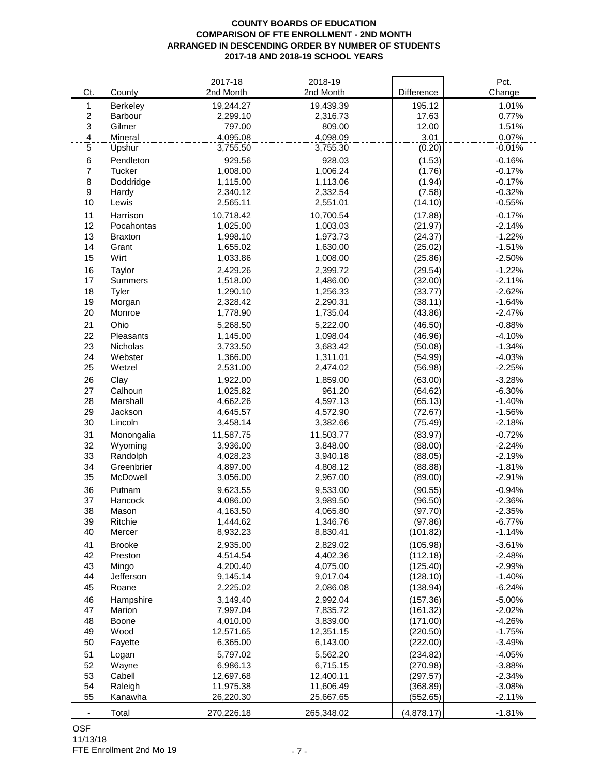### **COUNTY BOARDS OF EDUCATION COMPARISON OF FTE ENROLLMENT - 2ND MONTH ARRANGED IN DESCENDING ORDER BY NUMBER OF STUDENTS 2017-18 AND 2018-19 SCHOOL YEARS**

|                          |                  | 2017-18              | 2018-19    |            | Pct.                 |
|--------------------------|------------------|----------------------|------------|------------|----------------------|
| Ct.                      | County           | 2nd Month            | 2nd Month  | Difference | Change               |
| $\mathbf{1}$             | Berkeley         | 19,244.27            | 19,439.39  | 195.12     | 1.01%                |
| $\boldsymbol{2}$         | Barbour          | 2,299.10             | 2,316.73   | 17.63      | 0.77%                |
| $\mathbf{3}$             | Gilmer           | 797.00               | 809.00     | 12.00      | 1.51%                |
| $\overline{\mathcal{A}}$ | Mineral          | 4,095.08             | 4,098.09   | 3.01       | 0.07%                |
| $\mathbf 5$              | Upshur           | 3,755.50             | 3,755.30   | (0.20)     | $-0.01%$             |
| 6                        | Pendleton        | 929.56               | 928.03     | (1.53)     | $-0.16%$             |
| $\overline{7}$           | Tucker           | 1,008.00             | 1,006.24   | (1.76)     | $-0.17%$             |
| 8                        | Doddridge        | 1,115.00             | 1,113.06   | (1.94)     | $-0.17%$             |
| $\boldsymbol{9}$         | Hardy            | 2,340.12             | 2,332.54   | (7.58)     | $-0.32%$             |
| 10                       | Lewis            | 2,565.11             | 2,551.01   | (14.10)    | $-0.55%$             |
| 11                       | Harrison         | 10,718.42            | 10,700.54  | (17.88)    | $-0.17%$             |
| 12                       | Pocahontas       | 1,025.00             | 1,003.03   | (21.97)    | $-2.14%$             |
| 13                       | <b>Braxton</b>   | 1,998.10             | 1,973.73   | (24.37)    | $-1.22%$             |
| 14                       | Grant            | 1,655.02             | 1,630.00   | (25.02)    | $-1.51%$             |
| 15                       | Wirt             | 1,033.86             | 1,008.00   | (25.86)    | $-2.50%$             |
|                          |                  | 2,429.26             |            |            |                      |
| 16<br>17                 | Taylor           | 1,518.00             | 2,399.72   | (29.54)    | $-1.22%$             |
|                          | <b>Summers</b>   |                      | 1,486.00   | (32.00)    | $-2.11%$             |
| 18                       | Tyler            | 1,290.10             | 1,256.33   | (33.77)    | $-2.62%$             |
| 19<br>20                 | Morgan<br>Monroe | 2,328.42<br>1,778.90 | 2,290.31   | (38.11)    | $-1.64%$<br>$-2.47%$ |
|                          |                  |                      | 1,735.04   | (43.86)    |                      |
| 21                       | Ohio             | 5,268.50             | 5,222.00   | (46.50)    | $-0.88%$             |
| 22                       | Pleasants        | 1,145.00             | 1,098.04   | (46.96)    | $-4.10%$             |
| 23                       | Nicholas         | 3,733.50             | 3,683.42   | (50.08)    | $-1.34%$             |
| 24                       | Webster          | 1,366.00             | 1,311.01   | (54.99)    | $-4.03%$             |
| 25                       | Wetzel           | 2,531.00             | 2,474.02   | (56.98)    | $-2.25%$             |
| 26                       | Clay             | 1,922.00             | 1,859.00   | (63.00)    | $-3.28%$             |
| 27                       | Calhoun          | 1,025.82             | 961.20     | (64.62)    | $-6.30%$             |
| 28                       | Marshall         | 4,662.26             | 4,597.13   | (65.13)    | $-1.40%$             |
| 29                       | Jackson          | 4,645.57             | 4,572.90   | (72.67)    | $-1.56%$             |
| 30                       | Lincoln          | 3,458.14             | 3,382.66   | (75.49)    | $-2.18%$             |
| 31                       | Monongalia       | 11,587.75            | 11,503.77  | (83.97)    | $-0.72%$             |
| 32                       | Wyoming          | 3,936.00             | 3,848.00   | (88.00)    | $-2.24%$             |
| 33                       | Randolph         | 4,028.23             | 3,940.18   | (88.05)    | $-2.19%$             |
| 34                       | Greenbrier       | 4,897.00             | 4,808.12   | (88.88)    | $-1.81%$             |
| 35                       | McDowell         | 3,056.00             | 2,967.00   | (89.00)    | $-2.91%$             |
| 36                       | Putnam           | 9,623.55             | 9,533.00   | (90.55)    | $-0.94%$             |
| 37                       | Hancock          | 4,086.00             | 3,989.50   | (96.50)    | $-2.36%$             |
| 38                       | Mason            | 4,163.50             | 4,065.80   | (97.70)    | $-2.35%$             |
| 39                       | Ritchie          | 1,444.62             | 1,346.76   | (97.86)    | $-6.77%$             |
| 40                       | Mercer           | 8,932.23             | 8,830.41   | (101.82)   | $-1.14%$             |
| 41                       | <b>Brooke</b>    | 2,935.00             | 2,829.02   | (105.98)   | $-3.61%$             |
| 42                       | Preston          | 4,514.54             | 4,402.36   | (112.18)   | $-2.48%$             |
| 43                       | Mingo            | 4,200.40             | 4,075.00   | (125.40)   | $-2.99%$             |
| 44                       | Jefferson        | 9,145.14             | 9,017.04   | (128.10)   | $-1.40%$             |
| 45                       | Roane            | 2,225.02             | 2,086.08   | (138.94)   | $-6.24%$             |
| 46                       | Hampshire        | 3,149.40             | 2,992.04   | (157.36)   | $-5.00%$             |
| 47                       | Marion           | 7,997.04             | 7,835.72   | (161.32)   | $-2.02%$             |
| 48                       | Boone            | 4,010.00             | 3,839.00   | (171.00)   | $-4.26%$             |
| 49                       | Wood             | 12,571.65            | 12,351.15  | (220.50)   | $-1.75%$             |
| 50                       | Fayette          | 6,365.00             | 6,143.00   | (222.00)   | $-3.49%$             |
| 51                       | Logan            | 5,797.02             | 5,562.20   | (234.82)   | $-4.05%$             |
| 52                       | Wayne            | 6,986.13             | 6,715.15   | (270.98)   | $-3.88%$             |
| 53                       | Cabell           | 12,697.68            | 12,400.11  | (297.57)   | $-2.34%$             |
| 54                       | Raleigh          | 11,975.38            | 11,606.49  | (368.89)   | $-3.08%$             |
| 55                       | Kanawha          | 26,220.30            | 25,667.65  | (552.65)   | $-2.11%$             |
| ۰                        | Total            | 270,226.18           | 265,348.02 | (4,878.17) | $-1.81%$             |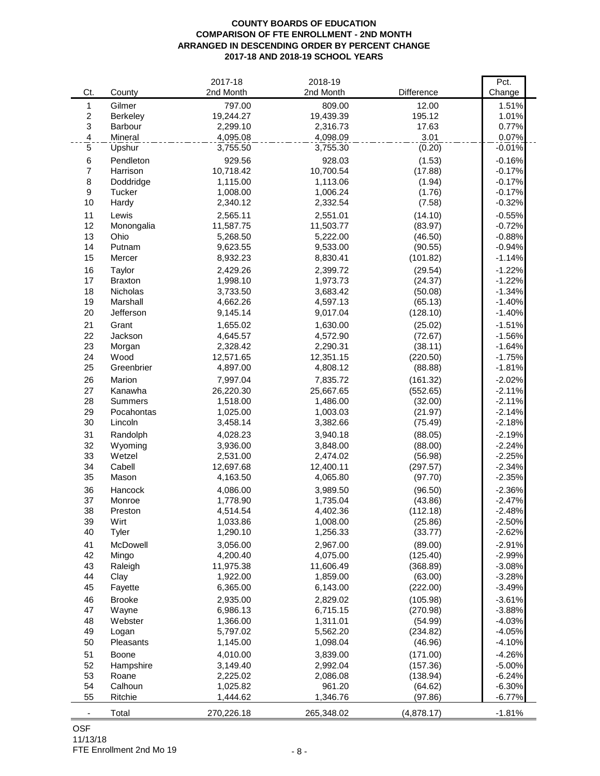### **COUNTY BOARDS OF EDUCATION COMPARISON OF FTE ENROLLMENT - 2ND MONTH ARRANGED IN DESCENDING ORDER BY PERCENT CHANGE 2017-18 AND 2018-19 SCHOOL YEARS**

|                          |                 | 2017-18    | 2018-19    |            | Pct.     |
|--------------------------|-----------------|------------|------------|------------|----------|
| Ct.                      | County          | 2nd Month  | 2nd Month  | Difference | Change   |
| $\mathbf{1}$             | Gilmer          | 797.00     | 809.00     | 12.00      | 1.51%    |
| $\boldsymbol{2}$         | Berkeley        | 19,244.27  | 19,439.39  | 195.12     | 1.01%    |
| $\mathfrak{S}$           | Barbour         | 2,299.10   | 2,316.73   | 17.63      | 0.77%    |
| $\overline{\mathcal{A}}$ | Mineral         | 4,095.08   | 4,098.09   | 3.01       | 0.07%    |
| $\sqrt{5}$               | Upshur          | 3,755.50   | 3,755.30   | (0.20)     | $-0.01%$ |
| 6                        | Pendleton       | 929.56     | 928.03     | (1.53)     | $-0.16%$ |
| $\overline{7}$           | Harrison        | 10,718.42  | 10,700.54  | (17.88)    | $-0.17%$ |
| 8                        | Doddridge       | 1,115.00   | 1,113.06   | (1.94)     | $-0.17%$ |
| 9                        | Tucker          | 1,008.00   | 1,006.24   | (1.76)     | $-0.17%$ |
| 10                       | Hardy           | 2,340.12   | 2,332.54   | (7.58)     | $-0.32%$ |
| 11                       | Lewis           | 2,565.11   | 2,551.01   | (14.10)    | $-0.55%$ |
| 12                       | Monongalia      | 11,587.75  | 11,503.77  | (83.97)    | $-0.72%$ |
| 13                       | Ohio            | 5,268.50   | 5,222.00   | (46.50)    | $-0.88%$ |
| 14                       | Putnam          | 9,623.55   | 9,533.00   | (90.55)    | $-0.94%$ |
| 15                       | Mercer          | 8,932.23   | 8,830.41   | (101.82)   | $-1.14%$ |
| 16                       | Taylor          | 2,429.26   | 2,399.72   | (29.54)    | $-1.22%$ |
| 17                       | <b>Braxton</b>  | 1,998.10   | 1,973.73   | (24.37)    | $-1.22%$ |
| 18                       | <b>Nicholas</b> | 3,733.50   | 3,683.42   | (50.08)    | $-1.34%$ |
| 19                       | Marshall        | 4,662.26   | 4,597.13   | (65.13)    | $-1.40%$ |
| 20                       | Jefferson       | 9,145.14   | 9,017.04   | (128.10)   | $-1.40%$ |
| 21                       | Grant           | 1,655.02   | 1,630.00   | (25.02)    | $-1.51%$ |
| 22                       | Jackson         | 4,645.57   | 4,572.90   | (72.67)    | $-1.56%$ |
| 23                       | Morgan          | 2,328.42   | 2,290.31   | (38.11)    | $-1.64%$ |
| 24                       | Wood            | 12,571.65  | 12,351.15  | (220.50)   | $-1.75%$ |
| 25                       | Greenbrier      | 4,897.00   | 4,808.12   | (88.88)    | $-1.81%$ |
| 26                       | Marion          | 7,997.04   | 7,835.72   | (161.32)   | $-2.02%$ |
| 27                       | Kanawha         | 26,220.30  | 25,667.65  | (552.65)   | $-2.11%$ |
| 28                       | <b>Summers</b>  | 1,518.00   | 1,486.00   | (32.00)    | $-2.11%$ |
| 29                       | Pocahontas      | 1,025.00   | 1,003.03   | (21.97)    | $-2.14%$ |
| 30                       | Lincoln         | 3,458.14   | 3,382.66   | (75.49)    | $-2.18%$ |
| 31                       | Randolph        | 4,028.23   | 3,940.18   | (88.05)    | $-2.19%$ |
| 32                       | Wyoming         | 3,936.00   | 3,848.00   | (88.00)    | $-2.24%$ |
| 33                       | Wetzel          | 2,531.00   | 2,474.02   | (56.98)    | $-2.25%$ |
| 34                       | Cabell          | 12,697.68  | 12,400.11  | (297.57)   | $-2.34%$ |
| 35                       | Mason           | 4,163.50   | 4,065.80   | (97.70)    | $-2.35%$ |
| 36                       | Hancock         | 4,086.00   | 3,989.50   | (96.50)    | $-2.36%$ |
| 37                       | Monroe          | 1,778.90   | 1,735.04   | (43.86)    | $-2.47%$ |
| 38                       | Preston         | 4,514.54   | 4,402.36   | (112.18)   | $-2.48%$ |
| 39                       | Wirt            | 1,033.86   | 1,008.00   | (25.86)    | $-2.50%$ |
| 40                       | Tyler           | 1,290.10   | 1,256.33   | (33.77)    | $-2.62%$ |
| 41                       | McDowell        | 3,056.00   | 2,967.00   | (89.00)    | $-2.91%$ |
| 42                       | Mingo           | 4,200.40   | 4,075.00   | (125.40)   | $-2.99%$ |
| 43                       | Raleigh         | 11,975.38  | 11,606.49  | (368.89)   | $-3.08%$ |
| 44                       | Clay            | 1,922.00   | 1,859.00   | (63.00)    | $-3.28%$ |
| 45                       | Fayette         | 6,365.00   | 6,143.00   | (222.00)   | $-3.49%$ |
| 46                       | <b>Brooke</b>   | 2,935.00   | 2,829.02   | (105.98)   | $-3.61%$ |
| 47                       | Wayne           | 6,986.13   | 6,715.15   | (270.98)   | $-3.88%$ |
| 48                       | Webster         | 1,366.00   | 1,311.01   | (54.99)    | $-4.03%$ |
| 49                       | Logan           | 5,797.02   | 5,562.20   | (234.82)   | $-4.05%$ |
| 50                       | Pleasants       | 1,145.00   | 1,098.04   | (46.96)    | $-4.10%$ |
| 51                       | Boone           | 4,010.00   | 3,839.00   | (171.00)   | $-4.26%$ |
| 52                       | Hampshire       | 3,149.40   | 2,992.04   | (157.36)   | $-5.00%$ |
| 53                       | Roane           | 2,225.02   | 2,086.08   | (138.94)   | $-6.24%$ |
| 54                       | Calhoun         | 1,025.82   | 961.20     | (64.62)    | $-6.30%$ |
| 55                       | Ritchie         | 1,444.62   | 1,346.76   | (97.86)    | $-6.77%$ |
|                          |                 |            |            |            |          |
| $\overline{\phantom{a}}$ | Total           | 270,226.18 | 265,348.02 | (4,878.17) | $-1.81%$ |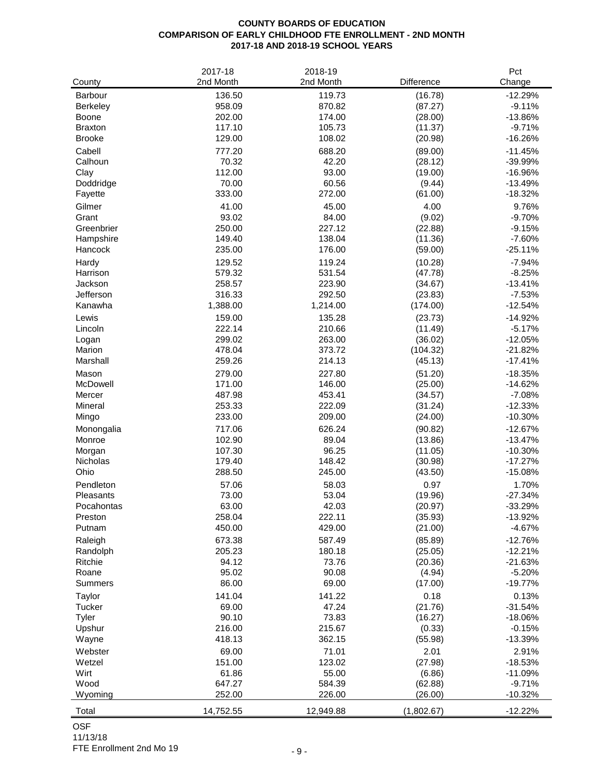# **COUNTY BOARDS OF EDUCATION COMPARISON OF EARLY CHILDHOOD FTE ENROLLMENT - 2ND MONTH 2017-18 AND 2018-19 SCHOOL YEARS**

| County               | 2017-18<br>2nd Month | 2018-19<br>2nd Month | Difference         | Pct<br>Change          |
|----------------------|----------------------|----------------------|--------------------|------------------------|
| <b>Barbour</b>       | 136.50               | 119.73               | (16.78)            | $-12.29%$              |
| <b>Berkeley</b>      | 958.09               | 870.82               | (87.27)            | $-9.11%$               |
| Boone                | 202.00               | 174.00               | (28.00)            | $-13.86%$              |
| <b>Braxton</b>       | 117.10               | 105.73               | (11.37)            | $-9.71%$               |
| <b>Brooke</b>        | 129.00               | 108.02               | (20.98)            | $-16.26%$              |
| Cabell               | 777.20               | 688.20               | (89.00)            | $-11.45%$              |
| Calhoun              | 70.32                | 42.20                | (28.12)            | -39.99%                |
| Clay                 | 112.00               | 93.00                | (19.00)            | $-16.96%$              |
| Doddridge            | 70.00                | 60.56                | (9.44)             | $-13.49%$              |
| Fayette              | 333.00               | 272.00               | (61.00)            | $-18.32%$              |
| Gilmer               | 41.00                | 45.00                | 4.00               | 9.76%                  |
| Grant                | 93.02                | 84.00                | (9.02)             | $-9.70%$               |
| Greenbrier           | 250.00               | 227.12               | (22.88)            | $-9.15%$               |
| Hampshire            | 149.40               | 138.04               | (11.36)            | $-7.60%$               |
| Hancock              | 235.00               | 176.00               | (59.00)            | $-25.11%$              |
| Hardy                | 129.52               | 119.24               | (10.28)            | $-7.94%$               |
| Harrison             | 579.32               | 531.54               | (47.78)            | $-8.25%$               |
| Jackson              | 258.57               | 223.90               | (34.67)            | $-13.41%$              |
| Jefferson            | 316.33               | 292.50               | (23.83)            | $-7.53%$               |
| Kanawha              | 1,388.00             | 1,214.00             | (174.00)           | $-12.54%$              |
| Lewis                | 159.00               | 135.28               | (23.73)            | $-14.92%$              |
| Lincoln              | 222.14               | 210.66               | (11.49)            | $-5.17%$               |
| Logan                | 299.02               | 263.00               | (36.02)            | $-12.05%$              |
| Marion               | 478.04               | 373.72               | (104.32)           | $-21.82%$              |
| Marshall             | 259.26               | 214.13               | (45.13)            | $-17.41%$              |
| Mason                | 279.00               | 227.80               | (51.20)            | $-18.35%$              |
| McDowell             | 171.00               | 146.00               | (25.00)            | $-14.62%$              |
| Mercer               | 487.98               | 453.41               | (34.57)            | $-7.08%$               |
| Mineral              | 253.33<br>233.00     | 222.09<br>209.00     | (31.24)            | $-12.33%$<br>$-10.30%$ |
| Mingo                |                      |                      | (24.00)            |                        |
| Monongalia<br>Monroe | 717.06<br>102.90     | 626.24<br>89.04      | (90.82)            | $-12.67%$<br>$-13.47%$ |
| Morgan               | 107.30               | 96.25                | (13.86)<br>(11.05) | $-10.30%$              |
| Nicholas             | 179.40               | 148.42               | (30.98)            | $-17.27%$              |
| Ohio                 | 288.50               | 245.00               | (43.50)            | $-15.08%$              |
| Pendleton            | 57.06                | 58.03                | 0.97               | 1.70%                  |
| Pleasants            | 73.00                | 53.04                | (19.96)            | $-27.34%$              |
| Pocahontas           | 63.00                | 42.03                | (20.97)            | $-33.29%$              |
| Preston              | 258.04               | 222.11               | (35.93)            | $-13.92%$              |
| Putnam               | 450.00               | 429.00               | (21.00)            | $-4.67%$               |
| Raleigh              | 673.38               | 587.49               | (85.89)            | $-12.76%$              |
| Randolph             | 205.23               | 180.18               | (25.05)            | $-12.21%$              |
| Ritchie              | 94.12                | 73.76                | (20.36)            | $-21.63%$              |
| Roane                | 95.02                | 90.08                | (4.94)             | $-5.20%$               |
| <b>Summers</b>       | 86.00                | 69.00                | (17.00)            | $-19.77%$              |
| Taylor               | 141.04               | 141.22               | 0.18               | 0.13%                  |
| Tucker               | 69.00                | 47.24                | (21.76)            | $-31.54%$              |
| Tyler                | 90.10                | 73.83                | (16.27)            | $-18.06%$              |
| Upshur               | 216.00               | 215.67               | (0.33)             | $-0.15%$               |
| Wayne                | 418.13               | 362.15               | (55.98)            | $-13.39%$              |
| Webster              | 69.00                | 71.01                | 2.01               | 2.91%                  |
| Wetzel               | 151.00               | 123.02               | (27.98)            | $-18.53%$              |
| Wirt                 | 61.86                | 55.00                | (6.86)             | $-11.09%$              |
| Wood                 | 647.27               | 584.39               | (62.88)            | $-9.71%$               |
| Wyoming              | 252.00               | 226.00               | (26.00)            | $-10.32%$              |
| Total                | 14,752.55            | 12,949.88            | (1,802.67)         | $-12.22%$              |

OSF 11/13/18

FTE Enrollment 2nd Mo 19 - 9 -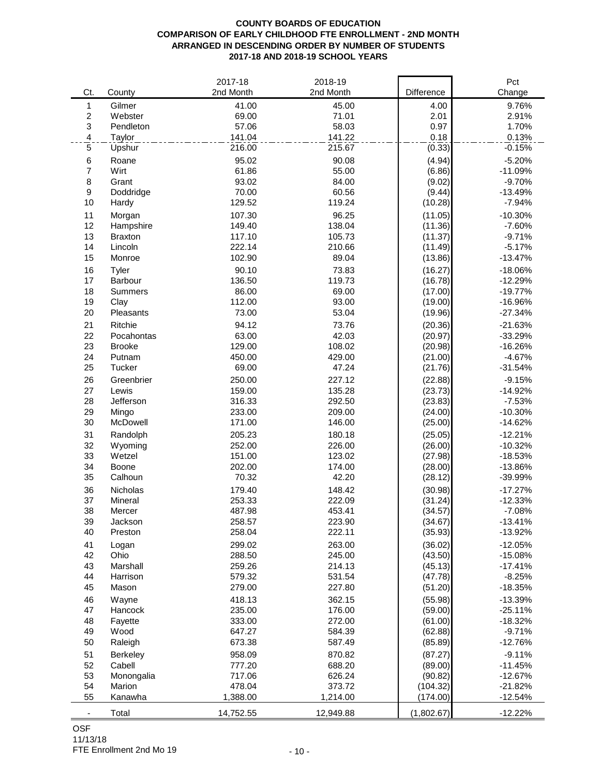## **COUNTY BOARDS OF EDUCATION COMPARISON OF EARLY CHILDHOOD FTE ENROLLMENT - 2ND MONTH ARRANGED IN DESCENDING ORDER BY NUMBER OF STUDENTS 2017-18 AND 2018-19 SCHOOL YEARS**

|                          |                | 2017-18   | 2018-19   |            | Pct       |
|--------------------------|----------------|-----------|-----------|------------|-----------|
| Ct.                      | County         | 2nd Month | 2nd Month | Difference | Change    |
| 1                        | Gilmer         | 41.00     | 45.00     | 4.00       | 9.76%     |
| $\overline{c}$           | Webster        | 69.00     | 71.01     | 2.01       | 2.91%     |
| 3                        | Pendleton      | 57.06     | 58.03     | 0.97       | 1.70%     |
| $\overline{4}$           | Taylor         | 141.04    | 141.22    | 0.18       | 0.13%     |
| 5                        | Upshur         | 216.00    | 215.67    | (0.33)     | $-0.15%$  |
| 6                        | Roane          | 95.02     | 90.08     | (4.94)     | $-5.20%$  |
| $\overline{7}$           | Wirt           | 61.86     | 55.00     | (6.86)     | $-11.09%$ |
| 8                        | Grant          | 93.02     | 84.00     | (9.02)     | $-9.70%$  |
| 9                        | Doddridge      | 70.00     | 60.56     | (9.44)     | $-13.49%$ |
| 10                       | Hardy          | 129.52    | 119.24    | (10.28)    | $-7.94%$  |
| 11                       | Morgan         | 107.30    | 96.25     | (11.05)    | $-10.30%$ |
| 12                       | Hampshire      | 149.40    | 138.04    | (11.36)    | $-7.60%$  |
| 13                       | <b>Braxton</b> | 117.10    | 105.73    | (11.37)    | $-9.71%$  |
| 14                       | Lincoln        | 222.14    | 210.66    | (11.49)    | $-5.17%$  |
| 15                       | Monroe         | 102.90    | 89.04     | (13.86)    | $-13.47%$ |
| 16                       | Tyler          | 90.10     | 73.83     | (16.27)    | $-18.06%$ |
| 17                       | Barbour        | 136.50    | 119.73    | (16.78)    | $-12.29%$ |
| 18                       | Summers        | 86.00     | 69.00     | (17.00)    | $-19.77%$ |
| 19                       | Clay           | 112.00    | 93.00     | (19.00)    | $-16.96%$ |
| 20                       | Pleasants      | 73.00     | 53.04     | (19.96)    | $-27.34%$ |
| 21                       | Ritchie        | 94.12     | 73.76     | (20.36)    | $-21.63%$ |
| 22                       | Pocahontas     | 63.00     | 42.03     | (20.97)    | $-33.29%$ |
| 23                       | <b>Brooke</b>  | 129.00    | 108.02    | (20.98)    | $-16.26%$ |
| 24                       | Putnam         | 450.00    | 429.00    | (21.00)    | $-4.67%$  |
| 25                       | Tucker         | 69.00     | 47.24     | (21.76)    | $-31.54%$ |
| 26                       | Greenbrier     | 250.00    | 227.12    | (22.88)    | $-9.15%$  |
| 27                       | Lewis          | 159.00    | 135.28    | (23.73)    | $-14.92%$ |
| 28                       | Jefferson      | 316.33    | 292.50    | (23.83)    | $-7.53%$  |
| 29                       | Mingo          | 233.00    | 209.00    | (24.00)    | $-10.30%$ |
| 30                       | McDowell       | 171.00    | 146.00    | (25.00)    | $-14.62%$ |
| 31                       | Randolph       | 205.23    | 180.18    | (25.05)    | $-12.21%$ |
| 32                       | Wyoming        | 252.00    | 226.00    | (26.00)    | $-10.32%$ |
| 33                       | Wetzel         | 151.00    | 123.02    | (27.98)    | $-18.53%$ |
| 34                       | Boone          | 202.00    | 174.00    | (28.00)    | $-13.86%$ |
| 35                       | Calhoun        | 70.32     | 42.20     | (28.12)    | $-39.99%$ |
| 36                       | Nicholas       | 179.40    | 148.42    | (30.98)    | $-17.27%$ |
| 37                       | Mineral        | 253.33    | 222.09    | (31.24)    | $-12.33%$ |
| 38                       | Mercer         | 487.98    | 453.41    | (34.57)    | $-7.08%$  |
| 39                       | Jackson        | 258.57    | 223.90    | (34.67)    | $-13.41%$ |
| 40                       | Preston        | 258.04    | 222.11    | (35.93)    | $-13.92%$ |
| 41                       | Logan          | 299.02    | 263.00    | (36.02)    | $-12.05%$ |
| 42                       | Ohio           | 288.50    | 245.00    | (43.50)    | $-15.08%$ |
| 43                       | Marshall       | 259.26    | 214.13    | (45.13)    | $-17.41%$ |
| 44                       | Harrison       | 579.32    | 531.54    | (47.78)    | $-8.25%$  |
| 45                       | Mason          | 279.00    | 227.80    | (51.20)    | $-18.35%$ |
| 46                       | Wayne          | 418.13    | 362.15    | (55.98)    | $-13.39%$ |
| 47                       | Hancock        | 235.00    | 176.00    | (59.00)    | $-25.11%$ |
| 48                       | Fayette        | 333.00    | 272.00    | (61.00)    | $-18.32%$ |
| 49                       | Wood           | 647.27    | 584.39    | (62.88)    | $-9.71%$  |
| 50                       | Raleigh        | 673.38    | 587.49    | (85.89)    | $-12.76%$ |
| 51                       | Berkeley       | 958.09    | 870.82    | (87.27)    | $-9.11%$  |
| 52                       | Cabell         | 777.20    | 688.20    | (89.00)    | $-11.45%$ |
| 53                       | Monongalia     | 717.06    | 626.24    | (90.82)    | $-12.67%$ |
| 54                       | Marion         | 478.04    | 373.72    | (104.32)   | $-21.82%$ |
| 55                       | Kanawha        | 1,388.00  | 1,214.00  | (174.00)   | $-12.54%$ |
| $\overline{\phantom{a}}$ | Total          | 14,752.55 | 12,949.88 | (1,802.67) | $-12.22%$ |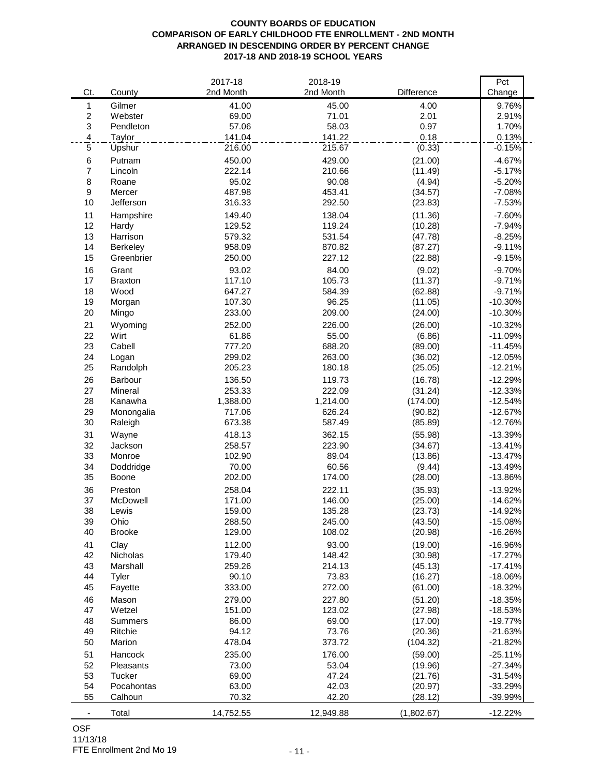## **COUNTY BOARDS OF EDUCATION COMPARISON OF EARLY CHILDHOOD FTE ENROLLMENT - 2ND MONTH ARRANGED IN DESCENDING ORDER BY PERCENT CHANGE 2017-18 AND 2018-19 SCHOOL YEARS**

| Gilmer<br>4.00<br>9.76%<br>1<br>41.00<br>45.00<br>$\overline{c}$<br>2.01<br>Webster<br>69.00<br>71.01<br>2.91%<br>3<br>0.97<br>1.70%<br>Pendleton<br>57.06<br>58.03<br>0.18<br>$\overline{4}$<br>141.04<br>141.22<br>0.13%<br>Taylor<br>$\mathbf 5$<br>216.00<br>215.67<br>$-0.15%$<br>Upshur<br>(0.33)<br>6<br>Putnam<br>450.00<br>429.00<br>(21.00)<br>$-4.67%$<br>$\overline{7}$<br>222.14<br>210.66<br>(11.49)<br>$-5.17%$<br>Lincoln<br>8<br>95.02<br>90.08<br>(4.94)<br>$-5.20%$<br>Roane<br>9<br>487.98<br>453.41<br>(34.57)<br>$-7.08%$<br>Mercer<br>10<br>316.33<br>292.50<br>(23.83)<br>$-7.53%$<br>Jefferson<br>11<br>149.40<br>138.04<br>Hampshire<br>(11.36)<br>$-7.60%$<br>12<br>129.52<br>119.24<br>$-7.94%$<br>Hardy<br>(10.28)<br>13<br>579.32<br>531.54<br>$-8.25%$<br>Harrison<br>(47.78)<br>14<br>958.09<br>870.82<br>$-9.11%$<br>Berkeley<br>(87.27)<br>15<br>250.00<br>227.12<br>(22.88)<br>$-9.15%$<br>Greenbrier<br>16<br>93.02<br>84.00<br>$-9.70%$<br>Grant<br>(9.02)<br>17<br>105.73<br>117.10<br>(11.37)<br>$-9.71%$<br><b>Braxton</b><br>18<br>$-9.71%$<br>Wood<br>647.27<br>584.39<br>(62.88)<br>96.25<br>19<br>107.30<br>(11.05)<br>$-10.30%$<br>Morgan<br>20<br>233.00<br>209.00<br>Mingo<br>(24.00)<br>$-10.30%$<br>21<br>252.00<br>226.00<br>$-10.32%$<br>Wyoming<br>(26.00)<br>22<br>Wirt<br>61.86<br>55.00<br>$-11.09%$<br>(6.86)<br>688.20<br>23<br>Cabell<br>777.20<br>$-11.45%$<br>(89.00)<br>24<br>299.02<br>263.00<br>(36.02)<br>$-12.05%$<br>Logan<br>25<br>205.23<br>180.18<br>(25.05)<br>$-12.21%$<br>Randolph<br>26<br>136.50<br>119.73<br>(16.78)<br>$-12.29%$<br>Barbour<br>27<br>Mineral<br>253.33<br>222.09<br>(31.24)<br>$-12.33%$<br>28<br>1,388.00<br>1,214.00<br>(174.00)<br>$-12.54%$<br>Kanawha<br>29<br>717.06<br>626.24<br>$-12.67%$<br>Monongalia<br>(90.82)<br>30<br>673.38<br>587.49<br>$-12.76%$<br>Raleigh<br>(85.89)<br>31<br>418.13<br>362.15<br>(55.98)<br>$-13.39%$<br>Wayne<br>32<br>223.90<br>258.57<br>$-13.41%$<br>Jackson<br>(34.67)<br>33<br>Monroe<br>102.90<br>89.04<br>(13.86)<br>$-13.47%$<br>34<br>60.56<br>70.00<br>$-13.49%$<br>Doddridge<br>(9.44)<br>35<br>174.00<br>Boone<br>202.00<br>(28.00)<br>-13.86%<br>36<br>222.11<br>$-13.92%$<br>Preston<br>258.04<br>(35.93)<br>37<br>McDowell<br>171.00<br>146.00<br>$-14.62%$<br>(25.00)<br>38<br>159.00<br>135.28<br>(23.73)<br>$-14.92%$<br>Lewis<br>Ohio<br>(43.50)<br>39<br>288.50<br>245.00<br>$-15.08%$<br>40<br>129.00<br>108.02<br>(20.98)<br><b>Brooke</b><br>$-16.26%$<br>(19.00)<br>41<br>112.00<br>93.00<br>$-16.96%$<br>Clay<br>42<br>Nicholas<br>148.42<br>(30.98)<br>$-17.27%$<br>179.40<br>43<br>Marshall<br>259.26<br>214.13<br>$-17.41%$<br>(45.13)<br>44<br>Tyler<br>90.10<br>73.83<br>(16.27)<br>$-18.06%$<br>45<br>272.00<br>Fayette<br>333.00<br>(61.00)<br>$-18.32%$<br>46<br>Mason<br>279.00<br>227.80<br>(51.20)<br>$-18.35%$<br>47<br>Wetzel<br>151.00<br>123.02<br>(27.98)<br>$-18.53%$<br>48<br>(17.00)<br>$-19.77%$<br>Summers<br>86.00<br>69.00<br>73.76<br>49<br>Ritchie<br>94.12<br>(20.36)<br>$-21.63%$<br>50<br>Marion<br>478.04<br>373.72<br>(104.32)<br>$-21.82%$<br>$-25.11%$<br>51<br>235.00<br>176.00<br>(59.00)<br>Hancock<br>52<br>Pleasants<br>$-27.34%$<br>73.00<br>53.04<br>(19.96)<br>53<br>Tucker<br>47.24<br>69.00<br>(21.76)<br>$-31.54%$<br>54<br>63.00<br>42.03<br>(20.97)<br>$-33.29%$<br>Pocahontas<br>55<br>Calhoun<br>70.32<br>42.20<br>(28.12)<br>-39.99% |                          |        | 2017-18   | 2018-19   |            | Pct       |
|------------------------------------------------------------------------------------------------------------------------------------------------------------------------------------------------------------------------------------------------------------------------------------------------------------------------------------------------------------------------------------------------------------------------------------------------------------------------------------------------------------------------------------------------------------------------------------------------------------------------------------------------------------------------------------------------------------------------------------------------------------------------------------------------------------------------------------------------------------------------------------------------------------------------------------------------------------------------------------------------------------------------------------------------------------------------------------------------------------------------------------------------------------------------------------------------------------------------------------------------------------------------------------------------------------------------------------------------------------------------------------------------------------------------------------------------------------------------------------------------------------------------------------------------------------------------------------------------------------------------------------------------------------------------------------------------------------------------------------------------------------------------------------------------------------------------------------------------------------------------------------------------------------------------------------------------------------------------------------------------------------------------------------------------------------------------------------------------------------------------------------------------------------------------------------------------------------------------------------------------------------------------------------------------------------------------------------------------------------------------------------------------------------------------------------------------------------------------------------------------------------------------------------------------------------------------------------------------------------------------------------------------------------------------------------------------------------------------------------------------------------------------------------------------------------------------------------------------------------------------------------------------------------------------------------------------------------------------------------------------------------------------------------------------------------------------------------------------------------------------------------------------------------------------------------------------------------------------------------------------------------------------------------------------------------------------------------------------------------------------------------------------------------------------------------------------|--------------------------|--------|-----------|-----------|------------|-----------|
|                                                                                                                                                                                                                                                                                                                                                                                                                                                                                                                                                                                                                                                                                                                                                                                                                                                                                                                                                                                                                                                                                                                                                                                                                                                                                                                                                                                                                                                                                                                                                                                                                                                                                                                                                                                                                                                                                                                                                                                                                                                                                                                                                                                                                                                                                                                                                                                                                                                                                                                                                                                                                                                                                                                                                                                                                                                                                                                                                                                                                                                                                                                                                                                                                                                                                                                                                                                                                                                | Ct.                      | County | 2nd Month | 2nd Month | Difference | Change    |
|                                                                                                                                                                                                                                                                                                                                                                                                                                                                                                                                                                                                                                                                                                                                                                                                                                                                                                                                                                                                                                                                                                                                                                                                                                                                                                                                                                                                                                                                                                                                                                                                                                                                                                                                                                                                                                                                                                                                                                                                                                                                                                                                                                                                                                                                                                                                                                                                                                                                                                                                                                                                                                                                                                                                                                                                                                                                                                                                                                                                                                                                                                                                                                                                                                                                                                                                                                                                                                                |                          |        |           |           |            |           |
|                                                                                                                                                                                                                                                                                                                                                                                                                                                                                                                                                                                                                                                                                                                                                                                                                                                                                                                                                                                                                                                                                                                                                                                                                                                                                                                                                                                                                                                                                                                                                                                                                                                                                                                                                                                                                                                                                                                                                                                                                                                                                                                                                                                                                                                                                                                                                                                                                                                                                                                                                                                                                                                                                                                                                                                                                                                                                                                                                                                                                                                                                                                                                                                                                                                                                                                                                                                                                                                |                          |        |           |           |            |           |
|                                                                                                                                                                                                                                                                                                                                                                                                                                                                                                                                                                                                                                                                                                                                                                                                                                                                                                                                                                                                                                                                                                                                                                                                                                                                                                                                                                                                                                                                                                                                                                                                                                                                                                                                                                                                                                                                                                                                                                                                                                                                                                                                                                                                                                                                                                                                                                                                                                                                                                                                                                                                                                                                                                                                                                                                                                                                                                                                                                                                                                                                                                                                                                                                                                                                                                                                                                                                                                                |                          |        |           |           |            |           |
|                                                                                                                                                                                                                                                                                                                                                                                                                                                                                                                                                                                                                                                                                                                                                                                                                                                                                                                                                                                                                                                                                                                                                                                                                                                                                                                                                                                                                                                                                                                                                                                                                                                                                                                                                                                                                                                                                                                                                                                                                                                                                                                                                                                                                                                                                                                                                                                                                                                                                                                                                                                                                                                                                                                                                                                                                                                                                                                                                                                                                                                                                                                                                                                                                                                                                                                                                                                                                                                |                          |        |           |           |            |           |
|                                                                                                                                                                                                                                                                                                                                                                                                                                                                                                                                                                                                                                                                                                                                                                                                                                                                                                                                                                                                                                                                                                                                                                                                                                                                                                                                                                                                                                                                                                                                                                                                                                                                                                                                                                                                                                                                                                                                                                                                                                                                                                                                                                                                                                                                                                                                                                                                                                                                                                                                                                                                                                                                                                                                                                                                                                                                                                                                                                                                                                                                                                                                                                                                                                                                                                                                                                                                                                                |                          |        |           |           |            |           |
|                                                                                                                                                                                                                                                                                                                                                                                                                                                                                                                                                                                                                                                                                                                                                                                                                                                                                                                                                                                                                                                                                                                                                                                                                                                                                                                                                                                                                                                                                                                                                                                                                                                                                                                                                                                                                                                                                                                                                                                                                                                                                                                                                                                                                                                                                                                                                                                                                                                                                                                                                                                                                                                                                                                                                                                                                                                                                                                                                                                                                                                                                                                                                                                                                                                                                                                                                                                                                                                |                          |        |           |           |            |           |
|                                                                                                                                                                                                                                                                                                                                                                                                                                                                                                                                                                                                                                                                                                                                                                                                                                                                                                                                                                                                                                                                                                                                                                                                                                                                                                                                                                                                                                                                                                                                                                                                                                                                                                                                                                                                                                                                                                                                                                                                                                                                                                                                                                                                                                                                                                                                                                                                                                                                                                                                                                                                                                                                                                                                                                                                                                                                                                                                                                                                                                                                                                                                                                                                                                                                                                                                                                                                                                                |                          |        |           |           |            |           |
|                                                                                                                                                                                                                                                                                                                                                                                                                                                                                                                                                                                                                                                                                                                                                                                                                                                                                                                                                                                                                                                                                                                                                                                                                                                                                                                                                                                                                                                                                                                                                                                                                                                                                                                                                                                                                                                                                                                                                                                                                                                                                                                                                                                                                                                                                                                                                                                                                                                                                                                                                                                                                                                                                                                                                                                                                                                                                                                                                                                                                                                                                                                                                                                                                                                                                                                                                                                                                                                |                          |        |           |           |            |           |
|                                                                                                                                                                                                                                                                                                                                                                                                                                                                                                                                                                                                                                                                                                                                                                                                                                                                                                                                                                                                                                                                                                                                                                                                                                                                                                                                                                                                                                                                                                                                                                                                                                                                                                                                                                                                                                                                                                                                                                                                                                                                                                                                                                                                                                                                                                                                                                                                                                                                                                                                                                                                                                                                                                                                                                                                                                                                                                                                                                                                                                                                                                                                                                                                                                                                                                                                                                                                                                                |                          |        |           |           |            |           |
|                                                                                                                                                                                                                                                                                                                                                                                                                                                                                                                                                                                                                                                                                                                                                                                                                                                                                                                                                                                                                                                                                                                                                                                                                                                                                                                                                                                                                                                                                                                                                                                                                                                                                                                                                                                                                                                                                                                                                                                                                                                                                                                                                                                                                                                                                                                                                                                                                                                                                                                                                                                                                                                                                                                                                                                                                                                                                                                                                                                                                                                                                                                                                                                                                                                                                                                                                                                                                                                |                          |        |           |           |            |           |
|                                                                                                                                                                                                                                                                                                                                                                                                                                                                                                                                                                                                                                                                                                                                                                                                                                                                                                                                                                                                                                                                                                                                                                                                                                                                                                                                                                                                                                                                                                                                                                                                                                                                                                                                                                                                                                                                                                                                                                                                                                                                                                                                                                                                                                                                                                                                                                                                                                                                                                                                                                                                                                                                                                                                                                                                                                                                                                                                                                                                                                                                                                                                                                                                                                                                                                                                                                                                                                                |                          |        |           |           |            |           |
|                                                                                                                                                                                                                                                                                                                                                                                                                                                                                                                                                                                                                                                                                                                                                                                                                                                                                                                                                                                                                                                                                                                                                                                                                                                                                                                                                                                                                                                                                                                                                                                                                                                                                                                                                                                                                                                                                                                                                                                                                                                                                                                                                                                                                                                                                                                                                                                                                                                                                                                                                                                                                                                                                                                                                                                                                                                                                                                                                                                                                                                                                                                                                                                                                                                                                                                                                                                                                                                |                          |        |           |           |            |           |
|                                                                                                                                                                                                                                                                                                                                                                                                                                                                                                                                                                                                                                                                                                                                                                                                                                                                                                                                                                                                                                                                                                                                                                                                                                                                                                                                                                                                                                                                                                                                                                                                                                                                                                                                                                                                                                                                                                                                                                                                                                                                                                                                                                                                                                                                                                                                                                                                                                                                                                                                                                                                                                                                                                                                                                                                                                                                                                                                                                                                                                                                                                                                                                                                                                                                                                                                                                                                                                                |                          |        |           |           |            |           |
|                                                                                                                                                                                                                                                                                                                                                                                                                                                                                                                                                                                                                                                                                                                                                                                                                                                                                                                                                                                                                                                                                                                                                                                                                                                                                                                                                                                                                                                                                                                                                                                                                                                                                                                                                                                                                                                                                                                                                                                                                                                                                                                                                                                                                                                                                                                                                                                                                                                                                                                                                                                                                                                                                                                                                                                                                                                                                                                                                                                                                                                                                                                                                                                                                                                                                                                                                                                                                                                |                          |        |           |           |            |           |
|                                                                                                                                                                                                                                                                                                                                                                                                                                                                                                                                                                                                                                                                                                                                                                                                                                                                                                                                                                                                                                                                                                                                                                                                                                                                                                                                                                                                                                                                                                                                                                                                                                                                                                                                                                                                                                                                                                                                                                                                                                                                                                                                                                                                                                                                                                                                                                                                                                                                                                                                                                                                                                                                                                                                                                                                                                                                                                                                                                                                                                                                                                                                                                                                                                                                                                                                                                                                                                                |                          |        |           |           |            |           |
|                                                                                                                                                                                                                                                                                                                                                                                                                                                                                                                                                                                                                                                                                                                                                                                                                                                                                                                                                                                                                                                                                                                                                                                                                                                                                                                                                                                                                                                                                                                                                                                                                                                                                                                                                                                                                                                                                                                                                                                                                                                                                                                                                                                                                                                                                                                                                                                                                                                                                                                                                                                                                                                                                                                                                                                                                                                                                                                                                                                                                                                                                                                                                                                                                                                                                                                                                                                                                                                |                          |        |           |           |            |           |
|                                                                                                                                                                                                                                                                                                                                                                                                                                                                                                                                                                                                                                                                                                                                                                                                                                                                                                                                                                                                                                                                                                                                                                                                                                                                                                                                                                                                                                                                                                                                                                                                                                                                                                                                                                                                                                                                                                                                                                                                                                                                                                                                                                                                                                                                                                                                                                                                                                                                                                                                                                                                                                                                                                                                                                                                                                                                                                                                                                                                                                                                                                                                                                                                                                                                                                                                                                                                                                                |                          |        |           |           |            |           |
|                                                                                                                                                                                                                                                                                                                                                                                                                                                                                                                                                                                                                                                                                                                                                                                                                                                                                                                                                                                                                                                                                                                                                                                                                                                                                                                                                                                                                                                                                                                                                                                                                                                                                                                                                                                                                                                                                                                                                                                                                                                                                                                                                                                                                                                                                                                                                                                                                                                                                                                                                                                                                                                                                                                                                                                                                                                                                                                                                                                                                                                                                                                                                                                                                                                                                                                                                                                                                                                |                          |        |           |           |            |           |
|                                                                                                                                                                                                                                                                                                                                                                                                                                                                                                                                                                                                                                                                                                                                                                                                                                                                                                                                                                                                                                                                                                                                                                                                                                                                                                                                                                                                                                                                                                                                                                                                                                                                                                                                                                                                                                                                                                                                                                                                                                                                                                                                                                                                                                                                                                                                                                                                                                                                                                                                                                                                                                                                                                                                                                                                                                                                                                                                                                                                                                                                                                                                                                                                                                                                                                                                                                                                                                                |                          |        |           |           |            |           |
|                                                                                                                                                                                                                                                                                                                                                                                                                                                                                                                                                                                                                                                                                                                                                                                                                                                                                                                                                                                                                                                                                                                                                                                                                                                                                                                                                                                                                                                                                                                                                                                                                                                                                                                                                                                                                                                                                                                                                                                                                                                                                                                                                                                                                                                                                                                                                                                                                                                                                                                                                                                                                                                                                                                                                                                                                                                                                                                                                                                                                                                                                                                                                                                                                                                                                                                                                                                                                                                |                          |        |           |           |            |           |
|                                                                                                                                                                                                                                                                                                                                                                                                                                                                                                                                                                                                                                                                                                                                                                                                                                                                                                                                                                                                                                                                                                                                                                                                                                                                                                                                                                                                                                                                                                                                                                                                                                                                                                                                                                                                                                                                                                                                                                                                                                                                                                                                                                                                                                                                                                                                                                                                                                                                                                                                                                                                                                                                                                                                                                                                                                                                                                                                                                                                                                                                                                                                                                                                                                                                                                                                                                                                                                                |                          |        |           |           |            |           |
|                                                                                                                                                                                                                                                                                                                                                                                                                                                                                                                                                                                                                                                                                                                                                                                                                                                                                                                                                                                                                                                                                                                                                                                                                                                                                                                                                                                                                                                                                                                                                                                                                                                                                                                                                                                                                                                                                                                                                                                                                                                                                                                                                                                                                                                                                                                                                                                                                                                                                                                                                                                                                                                                                                                                                                                                                                                                                                                                                                                                                                                                                                                                                                                                                                                                                                                                                                                                                                                |                          |        |           |           |            |           |
|                                                                                                                                                                                                                                                                                                                                                                                                                                                                                                                                                                                                                                                                                                                                                                                                                                                                                                                                                                                                                                                                                                                                                                                                                                                                                                                                                                                                                                                                                                                                                                                                                                                                                                                                                                                                                                                                                                                                                                                                                                                                                                                                                                                                                                                                                                                                                                                                                                                                                                                                                                                                                                                                                                                                                                                                                                                                                                                                                                                                                                                                                                                                                                                                                                                                                                                                                                                                                                                |                          |        |           |           |            |           |
|                                                                                                                                                                                                                                                                                                                                                                                                                                                                                                                                                                                                                                                                                                                                                                                                                                                                                                                                                                                                                                                                                                                                                                                                                                                                                                                                                                                                                                                                                                                                                                                                                                                                                                                                                                                                                                                                                                                                                                                                                                                                                                                                                                                                                                                                                                                                                                                                                                                                                                                                                                                                                                                                                                                                                                                                                                                                                                                                                                                                                                                                                                                                                                                                                                                                                                                                                                                                                                                |                          |        |           |           |            |           |
|                                                                                                                                                                                                                                                                                                                                                                                                                                                                                                                                                                                                                                                                                                                                                                                                                                                                                                                                                                                                                                                                                                                                                                                                                                                                                                                                                                                                                                                                                                                                                                                                                                                                                                                                                                                                                                                                                                                                                                                                                                                                                                                                                                                                                                                                                                                                                                                                                                                                                                                                                                                                                                                                                                                                                                                                                                                                                                                                                                                                                                                                                                                                                                                                                                                                                                                                                                                                                                                |                          |        |           |           |            |           |
|                                                                                                                                                                                                                                                                                                                                                                                                                                                                                                                                                                                                                                                                                                                                                                                                                                                                                                                                                                                                                                                                                                                                                                                                                                                                                                                                                                                                                                                                                                                                                                                                                                                                                                                                                                                                                                                                                                                                                                                                                                                                                                                                                                                                                                                                                                                                                                                                                                                                                                                                                                                                                                                                                                                                                                                                                                                                                                                                                                                                                                                                                                                                                                                                                                                                                                                                                                                                                                                |                          |        |           |           |            |           |
|                                                                                                                                                                                                                                                                                                                                                                                                                                                                                                                                                                                                                                                                                                                                                                                                                                                                                                                                                                                                                                                                                                                                                                                                                                                                                                                                                                                                                                                                                                                                                                                                                                                                                                                                                                                                                                                                                                                                                                                                                                                                                                                                                                                                                                                                                                                                                                                                                                                                                                                                                                                                                                                                                                                                                                                                                                                                                                                                                                                                                                                                                                                                                                                                                                                                                                                                                                                                                                                |                          |        |           |           |            |           |
|                                                                                                                                                                                                                                                                                                                                                                                                                                                                                                                                                                                                                                                                                                                                                                                                                                                                                                                                                                                                                                                                                                                                                                                                                                                                                                                                                                                                                                                                                                                                                                                                                                                                                                                                                                                                                                                                                                                                                                                                                                                                                                                                                                                                                                                                                                                                                                                                                                                                                                                                                                                                                                                                                                                                                                                                                                                                                                                                                                                                                                                                                                                                                                                                                                                                                                                                                                                                                                                |                          |        |           |           |            |           |
|                                                                                                                                                                                                                                                                                                                                                                                                                                                                                                                                                                                                                                                                                                                                                                                                                                                                                                                                                                                                                                                                                                                                                                                                                                                                                                                                                                                                                                                                                                                                                                                                                                                                                                                                                                                                                                                                                                                                                                                                                                                                                                                                                                                                                                                                                                                                                                                                                                                                                                                                                                                                                                                                                                                                                                                                                                                                                                                                                                                                                                                                                                                                                                                                                                                                                                                                                                                                                                                |                          |        |           |           |            |           |
|                                                                                                                                                                                                                                                                                                                                                                                                                                                                                                                                                                                                                                                                                                                                                                                                                                                                                                                                                                                                                                                                                                                                                                                                                                                                                                                                                                                                                                                                                                                                                                                                                                                                                                                                                                                                                                                                                                                                                                                                                                                                                                                                                                                                                                                                                                                                                                                                                                                                                                                                                                                                                                                                                                                                                                                                                                                                                                                                                                                                                                                                                                                                                                                                                                                                                                                                                                                                                                                |                          |        |           |           |            |           |
|                                                                                                                                                                                                                                                                                                                                                                                                                                                                                                                                                                                                                                                                                                                                                                                                                                                                                                                                                                                                                                                                                                                                                                                                                                                                                                                                                                                                                                                                                                                                                                                                                                                                                                                                                                                                                                                                                                                                                                                                                                                                                                                                                                                                                                                                                                                                                                                                                                                                                                                                                                                                                                                                                                                                                                                                                                                                                                                                                                                                                                                                                                                                                                                                                                                                                                                                                                                                                                                |                          |        |           |           |            |           |
|                                                                                                                                                                                                                                                                                                                                                                                                                                                                                                                                                                                                                                                                                                                                                                                                                                                                                                                                                                                                                                                                                                                                                                                                                                                                                                                                                                                                                                                                                                                                                                                                                                                                                                                                                                                                                                                                                                                                                                                                                                                                                                                                                                                                                                                                                                                                                                                                                                                                                                                                                                                                                                                                                                                                                                                                                                                                                                                                                                                                                                                                                                                                                                                                                                                                                                                                                                                                                                                |                          |        |           |           |            |           |
|                                                                                                                                                                                                                                                                                                                                                                                                                                                                                                                                                                                                                                                                                                                                                                                                                                                                                                                                                                                                                                                                                                                                                                                                                                                                                                                                                                                                                                                                                                                                                                                                                                                                                                                                                                                                                                                                                                                                                                                                                                                                                                                                                                                                                                                                                                                                                                                                                                                                                                                                                                                                                                                                                                                                                                                                                                                                                                                                                                                                                                                                                                                                                                                                                                                                                                                                                                                                                                                |                          |        |           |           |            |           |
|                                                                                                                                                                                                                                                                                                                                                                                                                                                                                                                                                                                                                                                                                                                                                                                                                                                                                                                                                                                                                                                                                                                                                                                                                                                                                                                                                                                                                                                                                                                                                                                                                                                                                                                                                                                                                                                                                                                                                                                                                                                                                                                                                                                                                                                                                                                                                                                                                                                                                                                                                                                                                                                                                                                                                                                                                                                                                                                                                                                                                                                                                                                                                                                                                                                                                                                                                                                                                                                |                          |        |           |           |            |           |
|                                                                                                                                                                                                                                                                                                                                                                                                                                                                                                                                                                                                                                                                                                                                                                                                                                                                                                                                                                                                                                                                                                                                                                                                                                                                                                                                                                                                                                                                                                                                                                                                                                                                                                                                                                                                                                                                                                                                                                                                                                                                                                                                                                                                                                                                                                                                                                                                                                                                                                                                                                                                                                                                                                                                                                                                                                                                                                                                                                                                                                                                                                                                                                                                                                                                                                                                                                                                                                                |                          |        |           |           |            |           |
|                                                                                                                                                                                                                                                                                                                                                                                                                                                                                                                                                                                                                                                                                                                                                                                                                                                                                                                                                                                                                                                                                                                                                                                                                                                                                                                                                                                                                                                                                                                                                                                                                                                                                                                                                                                                                                                                                                                                                                                                                                                                                                                                                                                                                                                                                                                                                                                                                                                                                                                                                                                                                                                                                                                                                                                                                                                                                                                                                                                                                                                                                                                                                                                                                                                                                                                                                                                                                                                |                          |        |           |           |            |           |
|                                                                                                                                                                                                                                                                                                                                                                                                                                                                                                                                                                                                                                                                                                                                                                                                                                                                                                                                                                                                                                                                                                                                                                                                                                                                                                                                                                                                                                                                                                                                                                                                                                                                                                                                                                                                                                                                                                                                                                                                                                                                                                                                                                                                                                                                                                                                                                                                                                                                                                                                                                                                                                                                                                                                                                                                                                                                                                                                                                                                                                                                                                                                                                                                                                                                                                                                                                                                                                                |                          |        |           |           |            |           |
|                                                                                                                                                                                                                                                                                                                                                                                                                                                                                                                                                                                                                                                                                                                                                                                                                                                                                                                                                                                                                                                                                                                                                                                                                                                                                                                                                                                                                                                                                                                                                                                                                                                                                                                                                                                                                                                                                                                                                                                                                                                                                                                                                                                                                                                                                                                                                                                                                                                                                                                                                                                                                                                                                                                                                                                                                                                                                                                                                                                                                                                                                                                                                                                                                                                                                                                                                                                                                                                |                          |        |           |           |            |           |
|                                                                                                                                                                                                                                                                                                                                                                                                                                                                                                                                                                                                                                                                                                                                                                                                                                                                                                                                                                                                                                                                                                                                                                                                                                                                                                                                                                                                                                                                                                                                                                                                                                                                                                                                                                                                                                                                                                                                                                                                                                                                                                                                                                                                                                                                                                                                                                                                                                                                                                                                                                                                                                                                                                                                                                                                                                                                                                                                                                                                                                                                                                                                                                                                                                                                                                                                                                                                                                                |                          |        |           |           |            |           |
|                                                                                                                                                                                                                                                                                                                                                                                                                                                                                                                                                                                                                                                                                                                                                                                                                                                                                                                                                                                                                                                                                                                                                                                                                                                                                                                                                                                                                                                                                                                                                                                                                                                                                                                                                                                                                                                                                                                                                                                                                                                                                                                                                                                                                                                                                                                                                                                                                                                                                                                                                                                                                                                                                                                                                                                                                                                                                                                                                                                                                                                                                                                                                                                                                                                                                                                                                                                                                                                |                          |        |           |           |            |           |
|                                                                                                                                                                                                                                                                                                                                                                                                                                                                                                                                                                                                                                                                                                                                                                                                                                                                                                                                                                                                                                                                                                                                                                                                                                                                                                                                                                                                                                                                                                                                                                                                                                                                                                                                                                                                                                                                                                                                                                                                                                                                                                                                                                                                                                                                                                                                                                                                                                                                                                                                                                                                                                                                                                                                                                                                                                                                                                                                                                                                                                                                                                                                                                                                                                                                                                                                                                                                                                                |                          |        |           |           |            |           |
|                                                                                                                                                                                                                                                                                                                                                                                                                                                                                                                                                                                                                                                                                                                                                                                                                                                                                                                                                                                                                                                                                                                                                                                                                                                                                                                                                                                                                                                                                                                                                                                                                                                                                                                                                                                                                                                                                                                                                                                                                                                                                                                                                                                                                                                                                                                                                                                                                                                                                                                                                                                                                                                                                                                                                                                                                                                                                                                                                                                                                                                                                                                                                                                                                                                                                                                                                                                                                                                |                          |        |           |           |            |           |
|                                                                                                                                                                                                                                                                                                                                                                                                                                                                                                                                                                                                                                                                                                                                                                                                                                                                                                                                                                                                                                                                                                                                                                                                                                                                                                                                                                                                                                                                                                                                                                                                                                                                                                                                                                                                                                                                                                                                                                                                                                                                                                                                                                                                                                                                                                                                                                                                                                                                                                                                                                                                                                                                                                                                                                                                                                                                                                                                                                                                                                                                                                                                                                                                                                                                                                                                                                                                                                                |                          |        |           |           |            |           |
|                                                                                                                                                                                                                                                                                                                                                                                                                                                                                                                                                                                                                                                                                                                                                                                                                                                                                                                                                                                                                                                                                                                                                                                                                                                                                                                                                                                                                                                                                                                                                                                                                                                                                                                                                                                                                                                                                                                                                                                                                                                                                                                                                                                                                                                                                                                                                                                                                                                                                                                                                                                                                                                                                                                                                                                                                                                                                                                                                                                                                                                                                                                                                                                                                                                                                                                                                                                                                                                |                          |        |           |           |            |           |
|                                                                                                                                                                                                                                                                                                                                                                                                                                                                                                                                                                                                                                                                                                                                                                                                                                                                                                                                                                                                                                                                                                                                                                                                                                                                                                                                                                                                                                                                                                                                                                                                                                                                                                                                                                                                                                                                                                                                                                                                                                                                                                                                                                                                                                                                                                                                                                                                                                                                                                                                                                                                                                                                                                                                                                                                                                                                                                                                                                                                                                                                                                                                                                                                                                                                                                                                                                                                                                                |                          |        |           |           |            |           |
|                                                                                                                                                                                                                                                                                                                                                                                                                                                                                                                                                                                                                                                                                                                                                                                                                                                                                                                                                                                                                                                                                                                                                                                                                                                                                                                                                                                                                                                                                                                                                                                                                                                                                                                                                                                                                                                                                                                                                                                                                                                                                                                                                                                                                                                                                                                                                                                                                                                                                                                                                                                                                                                                                                                                                                                                                                                                                                                                                                                                                                                                                                                                                                                                                                                                                                                                                                                                                                                |                          |        |           |           |            |           |
|                                                                                                                                                                                                                                                                                                                                                                                                                                                                                                                                                                                                                                                                                                                                                                                                                                                                                                                                                                                                                                                                                                                                                                                                                                                                                                                                                                                                                                                                                                                                                                                                                                                                                                                                                                                                                                                                                                                                                                                                                                                                                                                                                                                                                                                                                                                                                                                                                                                                                                                                                                                                                                                                                                                                                                                                                                                                                                                                                                                                                                                                                                                                                                                                                                                                                                                                                                                                                                                |                          |        |           |           |            |           |
|                                                                                                                                                                                                                                                                                                                                                                                                                                                                                                                                                                                                                                                                                                                                                                                                                                                                                                                                                                                                                                                                                                                                                                                                                                                                                                                                                                                                                                                                                                                                                                                                                                                                                                                                                                                                                                                                                                                                                                                                                                                                                                                                                                                                                                                                                                                                                                                                                                                                                                                                                                                                                                                                                                                                                                                                                                                                                                                                                                                                                                                                                                                                                                                                                                                                                                                                                                                                                                                |                          |        |           |           |            |           |
|                                                                                                                                                                                                                                                                                                                                                                                                                                                                                                                                                                                                                                                                                                                                                                                                                                                                                                                                                                                                                                                                                                                                                                                                                                                                                                                                                                                                                                                                                                                                                                                                                                                                                                                                                                                                                                                                                                                                                                                                                                                                                                                                                                                                                                                                                                                                                                                                                                                                                                                                                                                                                                                                                                                                                                                                                                                                                                                                                                                                                                                                                                                                                                                                                                                                                                                                                                                                                                                |                          |        |           |           |            |           |
|                                                                                                                                                                                                                                                                                                                                                                                                                                                                                                                                                                                                                                                                                                                                                                                                                                                                                                                                                                                                                                                                                                                                                                                                                                                                                                                                                                                                                                                                                                                                                                                                                                                                                                                                                                                                                                                                                                                                                                                                                                                                                                                                                                                                                                                                                                                                                                                                                                                                                                                                                                                                                                                                                                                                                                                                                                                                                                                                                                                                                                                                                                                                                                                                                                                                                                                                                                                                                                                |                          |        |           |           |            |           |
|                                                                                                                                                                                                                                                                                                                                                                                                                                                                                                                                                                                                                                                                                                                                                                                                                                                                                                                                                                                                                                                                                                                                                                                                                                                                                                                                                                                                                                                                                                                                                                                                                                                                                                                                                                                                                                                                                                                                                                                                                                                                                                                                                                                                                                                                                                                                                                                                                                                                                                                                                                                                                                                                                                                                                                                                                                                                                                                                                                                                                                                                                                                                                                                                                                                                                                                                                                                                                                                |                          |        |           |           |            |           |
|                                                                                                                                                                                                                                                                                                                                                                                                                                                                                                                                                                                                                                                                                                                                                                                                                                                                                                                                                                                                                                                                                                                                                                                                                                                                                                                                                                                                                                                                                                                                                                                                                                                                                                                                                                                                                                                                                                                                                                                                                                                                                                                                                                                                                                                                                                                                                                                                                                                                                                                                                                                                                                                                                                                                                                                                                                                                                                                                                                                                                                                                                                                                                                                                                                                                                                                                                                                                                                                |                          |        |           |           |            |           |
|                                                                                                                                                                                                                                                                                                                                                                                                                                                                                                                                                                                                                                                                                                                                                                                                                                                                                                                                                                                                                                                                                                                                                                                                                                                                                                                                                                                                                                                                                                                                                                                                                                                                                                                                                                                                                                                                                                                                                                                                                                                                                                                                                                                                                                                                                                                                                                                                                                                                                                                                                                                                                                                                                                                                                                                                                                                                                                                                                                                                                                                                                                                                                                                                                                                                                                                                                                                                                                                |                          |        |           |           |            |           |
|                                                                                                                                                                                                                                                                                                                                                                                                                                                                                                                                                                                                                                                                                                                                                                                                                                                                                                                                                                                                                                                                                                                                                                                                                                                                                                                                                                                                                                                                                                                                                                                                                                                                                                                                                                                                                                                                                                                                                                                                                                                                                                                                                                                                                                                                                                                                                                                                                                                                                                                                                                                                                                                                                                                                                                                                                                                                                                                                                                                                                                                                                                                                                                                                                                                                                                                                                                                                                                                |                          |        |           |           |            |           |
|                                                                                                                                                                                                                                                                                                                                                                                                                                                                                                                                                                                                                                                                                                                                                                                                                                                                                                                                                                                                                                                                                                                                                                                                                                                                                                                                                                                                                                                                                                                                                                                                                                                                                                                                                                                                                                                                                                                                                                                                                                                                                                                                                                                                                                                                                                                                                                                                                                                                                                                                                                                                                                                                                                                                                                                                                                                                                                                                                                                                                                                                                                                                                                                                                                                                                                                                                                                                                                                |                          |        |           |           |            |           |
|                                                                                                                                                                                                                                                                                                                                                                                                                                                                                                                                                                                                                                                                                                                                                                                                                                                                                                                                                                                                                                                                                                                                                                                                                                                                                                                                                                                                                                                                                                                                                                                                                                                                                                                                                                                                                                                                                                                                                                                                                                                                                                                                                                                                                                                                                                                                                                                                                                                                                                                                                                                                                                                                                                                                                                                                                                                                                                                                                                                                                                                                                                                                                                                                                                                                                                                                                                                                                                                | $\overline{\phantom{a}}$ | Total  | 14,752.55 | 12,949.88 | (1,802.67) | $-12.22%$ |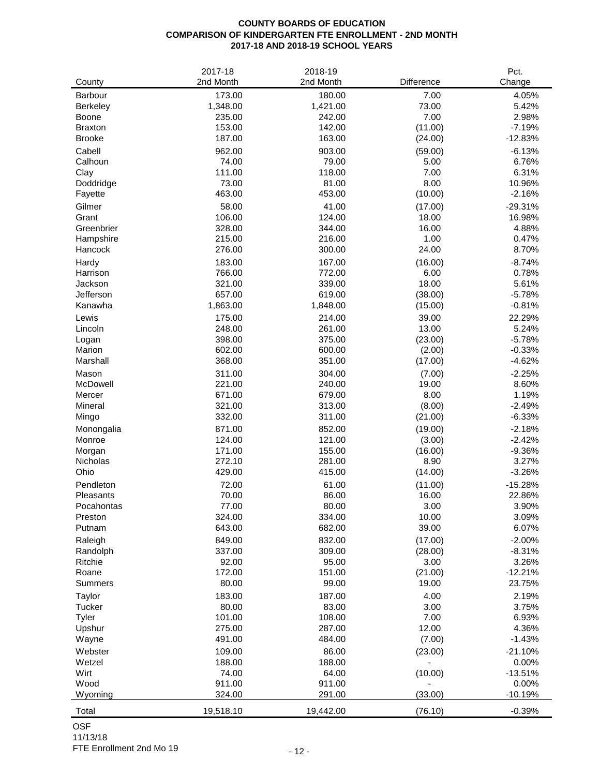# **COUNTY BOARDS OF EDUCATION COMPARISON OF KINDERGARTEN FTE ENROLLMENT - 2ND MONTH 2017-18 AND 2018-19 SCHOOL YEARS**

| 173.00<br>180.00<br>Barbour<br>7.00<br>4.05%<br>1,348.00<br>1,421.00<br>73.00<br>5.42%<br><b>Berkeley</b><br>7.00<br>2.98%<br>Boone<br>235.00<br>242.00<br>153.00<br>142.00<br>(11.00)<br>$-7.19%$<br><b>Braxton</b><br>187.00<br>163.00<br>(24.00)<br>$-12.83%$<br><b>Brooke</b><br>962.00<br>903.00<br>$-6.13%$<br>Cabell<br>(59.00)<br>79.00<br>6.76%<br>Calhoun<br>74.00<br>5.00<br>111.00<br>118.00<br>7.00<br>6.31%<br>Clay<br>8.00<br>73.00<br>81.00<br>10.96%<br>Doddridge<br>463.00<br>453.00<br>Fayette<br>(10.00)<br>$-2.16%$<br>58.00<br>41.00<br>Gilmer<br>(17.00)<br>$-29.31%$<br>Grant<br>106.00<br>16.98%<br>124.00<br>18.00<br>Greenbrier<br>328.00<br>344.00<br>16.00<br>4.88%<br>1.00<br>215.00<br>216.00<br>0.47%<br>Hampshire<br>276.00<br>24.00<br>8.70%<br>Hancock<br>300.00<br>183.00<br>167.00<br>(16.00)<br>$-8.74%$<br>Hardy<br>766.00<br>772.00<br>6.00<br>0.78%<br>Harrison<br>18.00<br>321.00<br>339.00<br>5.61%<br>Jackson<br>Jefferson<br>657.00<br>619.00<br>$-5.78%$<br>(38.00)<br>$-0.81%$<br>Kanawha<br>1,863.00<br>1,848.00<br>(15.00)<br>22.29%<br>Lewis<br>175.00<br>214.00<br>39.00<br>248.00<br>261.00<br>13.00<br>5.24%<br>Lincoln<br>398.00<br>375.00<br>(23.00)<br>$-5.78%$<br>Logan<br>602.00<br>600.00<br>(2.00)<br>$-0.33%$<br>Marion<br>368.00<br>351.00<br>(17.00)<br>$-4.62%$<br>Marshall<br>311.00<br>304.00<br>(7.00)<br>$-2.25%$<br>Mason<br>221.00<br>19.00<br>8.60%<br>McDowell<br>240.00<br>671.00<br>679.00<br>8.00<br>1.19%<br>Mercer<br>321.00<br>313.00<br>$-2.49%$<br>Mineral<br>(8.00)<br>$-6.33%$<br>332.00<br>311.00<br>(21.00)<br>Mingo<br>871.00<br>852.00<br>(19.00)<br>$-2.18%$<br>Monongalia<br>124.00<br>121.00<br>$-2.42%$<br>Monroe<br>(3.00)<br>171.00<br>155.00<br>$-9.36%$<br>Morgan<br>(16.00)<br>272.10<br>281.00<br>8.90<br>3.27%<br>Nicholas<br>Ohio<br>429.00<br>415.00<br>(14.00)<br>$-3.26%$<br>Pendleton<br>72.00<br>61.00<br>(11.00)<br>$-15.28%$<br>70.00<br>86.00<br>16.00<br>Pleasants<br>22.86%<br>Pocahontas<br>77.00<br>80.00<br>3.00<br>3.90%<br>334.00<br>10.00<br>3.09%<br>Preston<br>324.00<br>643.00<br>682.00<br>39.00<br>6.07%<br>Putnam<br>849.00<br>832.00<br>(17.00)<br>$-2.00%$<br>Raleigh<br>337.00<br>309.00<br>$-8.31%$<br>Randolph<br>(28.00)<br>Ritchie<br>92.00<br>95.00<br>3.00<br>3.26%<br>172.00<br>151.00<br>(21.00)<br>$-12.21%$<br>Roane<br>80.00<br>99.00<br>19.00<br>23.75%<br><b>Summers</b><br>4.00<br>2.19%<br>183.00<br>187.00<br>Taylor<br>80.00<br>83.00<br>3.00<br>3.75%<br>Tucker<br>Tyler<br>101.00<br>108.00<br>7.00<br>6.93%<br>12.00<br>275.00<br>287.00<br>4.36%<br>Upshur<br>(7.00)<br>$-1.43%$<br>Wayne<br>491.00<br>484.00<br>86.00<br>Webster<br>109.00<br>(23.00)<br>$-21.10%$<br>Wetzel<br>188.00<br>188.00<br>0.00%<br>Wirt<br>74.00<br>64.00<br>$-13.51%$<br>(10.00)<br>Wood<br>911.00<br>911.00<br>0.00%<br>(33.00)<br>324.00<br>291.00<br>$-10.19%$<br>Wyoming | County | 2017-18<br>2nd Month | 2018-19<br>2nd Month | Difference | Pct.<br>Change |
|----------------------------------------------------------------------------------------------------------------------------------------------------------------------------------------------------------------------------------------------------------------------------------------------------------------------------------------------------------------------------------------------------------------------------------------------------------------------------------------------------------------------------------------------------------------------------------------------------------------------------------------------------------------------------------------------------------------------------------------------------------------------------------------------------------------------------------------------------------------------------------------------------------------------------------------------------------------------------------------------------------------------------------------------------------------------------------------------------------------------------------------------------------------------------------------------------------------------------------------------------------------------------------------------------------------------------------------------------------------------------------------------------------------------------------------------------------------------------------------------------------------------------------------------------------------------------------------------------------------------------------------------------------------------------------------------------------------------------------------------------------------------------------------------------------------------------------------------------------------------------------------------------------------------------------------------------------------------------------------------------------------------------------------------------------------------------------------------------------------------------------------------------------------------------------------------------------------------------------------------------------------------------------------------------------------------------------------------------------------------------------------------------------------------------------------------------------------------------------------------------------------------------------------------------------------------------------------------------------------------------------------------------------------------------------------------------------------------------------------------------------------------------------------------------------------------------------------------------------------------------------------------------------|--------|----------------------|----------------------|------------|----------------|
|                                                                                                                                                                                                                                                                                                                                                                                                                                                                                                                                                                                                                                                                                                                                                                                                                                                                                                                                                                                                                                                                                                                                                                                                                                                                                                                                                                                                                                                                                                                                                                                                                                                                                                                                                                                                                                                                                                                                                                                                                                                                                                                                                                                                                                                                                                                                                                                                                                                                                                                                                                                                                                                                                                                                                                                                                                                                                                          |        |                      |                      |            |                |
|                                                                                                                                                                                                                                                                                                                                                                                                                                                                                                                                                                                                                                                                                                                                                                                                                                                                                                                                                                                                                                                                                                                                                                                                                                                                                                                                                                                                                                                                                                                                                                                                                                                                                                                                                                                                                                                                                                                                                                                                                                                                                                                                                                                                                                                                                                                                                                                                                                                                                                                                                                                                                                                                                                                                                                                                                                                                                                          |        |                      |                      |            |                |
|                                                                                                                                                                                                                                                                                                                                                                                                                                                                                                                                                                                                                                                                                                                                                                                                                                                                                                                                                                                                                                                                                                                                                                                                                                                                                                                                                                                                                                                                                                                                                                                                                                                                                                                                                                                                                                                                                                                                                                                                                                                                                                                                                                                                                                                                                                                                                                                                                                                                                                                                                                                                                                                                                                                                                                                                                                                                                                          |        |                      |                      |            |                |
|                                                                                                                                                                                                                                                                                                                                                                                                                                                                                                                                                                                                                                                                                                                                                                                                                                                                                                                                                                                                                                                                                                                                                                                                                                                                                                                                                                                                                                                                                                                                                                                                                                                                                                                                                                                                                                                                                                                                                                                                                                                                                                                                                                                                                                                                                                                                                                                                                                                                                                                                                                                                                                                                                                                                                                                                                                                                                                          |        |                      |                      |            |                |
|                                                                                                                                                                                                                                                                                                                                                                                                                                                                                                                                                                                                                                                                                                                                                                                                                                                                                                                                                                                                                                                                                                                                                                                                                                                                                                                                                                                                                                                                                                                                                                                                                                                                                                                                                                                                                                                                                                                                                                                                                                                                                                                                                                                                                                                                                                                                                                                                                                                                                                                                                                                                                                                                                                                                                                                                                                                                                                          |        |                      |                      |            |                |
|                                                                                                                                                                                                                                                                                                                                                                                                                                                                                                                                                                                                                                                                                                                                                                                                                                                                                                                                                                                                                                                                                                                                                                                                                                                                                                                                                                                                                                                                                                                                                                                                                                                                                                                                                                                                                                                                                                                                                                                                                                                                                                                                                                                                                                                                                                                                                                                                                                                                                                                                                                                                                                                                                                                                                                                                                                                                                                          |        |                      |                      |            |                |
|                                                                                                                                                                                                                                                                                                                                                                                                                                                                                                                                                                                                                                                                                                                                                                                                                                                                                                                                                                                                                                                                                                                                                                                                                                                                                                                                                                                                                                                                                                                                                                                                                                                                                                                                                                                                                                                                                                                                                                                                                                                                                                                                                                                                                                                                                                                                                                                                                                                                                                                                                                                                                                                                                                                                                                                                                                                                                                          |        |                      |                      |            |                |
|                                                                                                                                                                                                                                                                                                                                                                                                                                                                                                                                                                                                                                                                                                                                                                                                                                                                                                                                                                                                                                                                                                                                                                                                                                                                                                                                                                                                                                                                                                                                                                                                                                                                                                                                                                                                                                                                                                                                                                                                                                                                                                                                                                                                                                                                                                                                                                                                                                                                                                                                                                                                                                                                                                                                                                                                                                                                                                          |        |                      |                      |            |                |
|                                                                                                                                                                                                                                                                                                                                                                                                                                                                                                                                                                                                                                                                                                                                                                                                                                                                                                                                                                                                                                                                                                                                                                                                                                                                                                                                                                                                                                                                                                                                                                                                                                                                                                                                                                                                                                                                                                                                                                                                                                                                                                                                                                                                                                                                                                                                                                                                                                                                                                                                                                                                                                                                                                                                                                                                                                                                                                          |        |                      |                      |            |                |
|                                                                                                                                                                                                                                                                                                                                                                                                                                                                                                                                                                                                                                                                                                                                                                                                                                                                                                                                                                                                                                                                                                                                                                                                                                                                                                                                                                                                                                                                                                                                                                                                                                                                                                                                                                                                                                                                                                                                                                                                                                                                                                                                                                                                                                                                                                                                                                                                                                                                                                                                                                                                                                                                                                                                                                                                                                                                                                          |        |                      |                      |            |                |
|                                                                                                                                                                                                                                                                                                                                                                                                                                                                                                                                                                                                                                                                                                                                                                                                                                                                                                                                                                                                                                                                                                                                                                                                                                                                                                                                                                                                                                                                                                                                                                                                                                                                                                                                                                                                                                                                                                                                                                                                                                                                                                                                                                                                                                                                                                                                                                                                                                                                                                                                                                                                                                                                                                                                                                                                                                                                                                          |        |                      |                      |            |                |
|                                                                                                                                                                                                                                                                                                                                                                                                                                                                                                                                                                                                                                                                                                                                                                                                                                                                                                                                                                                                                                                                                                                                                                                                                                                                                                                                                                                                                                                                                                                                                                                                                                                                                                                                                                                                                                                                                                                                                                                                                                                                                                                                                                                                                                                                                                                                                                                                                                                                                                                                                                                                                                                                                                                                                                                                                                                                                                          |        |                      |                      |            |                |
|                                                                                                                                                                                                                                                                                                                                                                                                                                                                                                                                                                                                                                                                                                                                                                                                                                                                                                                                                                                                                                                                                                                                                                                                                                                                                                                                                                                                                                                                                                                                                                                                                                                                                                                                                                                                                                                                                                                                                                                                                                                                                                                                                                                                                                                                                                                                                                                                                                                                                                                                                                                                                                                                                                                                                                                                                                                                                                          |        |                      |                      |            |                |
|                                                                                                                                                                                                                                                                                                                                                                                                                                                                                                                                                                                                                                                                                                                                                                                                                                                                                                                                                                                                                                                                                                                                                                                                                                                                                                                                                                                                                                                                                                                                                                                                                                                                                                                                                                                                                                                                                                                                                                                                                                                                                                                                                                                                                                                                                                                                                                                                                                                                                                                                                                                                                                                                                                                                                                                                                                                                                                          |        |                      |                      |            |                |
|                                                                                                                                                                                                                                                                                                                                                                                                                                                                                                                                                                                                                                                                                                                                                                                                                                                                                                                                                                                                                                                                                                                                                                                                                                                                                                                                                                                                                                                                                                                                                                                                                                                                                                                                                                                                                                                                                                                                                                                                                                                                                                                                                                                                                                                                                                                                                                                                                                                                                                                                                                                                                                                                                                                                                                                                                                                                                                          |        |                      |                      |            |                |
|                                                                                                                                                                                                                                                                                                                                                                                                                                                                                                                                                                                                                                                                                                                                                                                                                                                                                                                                                                                                                                                                                                                                                                                                                                                                                                                                                                                                                                                                                                                                                                                                                                                                                                                                                                                                                                                                                                                                                                                                                                                                                                                                                                                                                                                                                                                                                                                                                                                                                                                                                                                                                                                                                                                                                                                                                                                                                                          |        |                      |                      |            |                |
|                                                                                                                                                                                                                                                                                                                                                                                                                                                                                                                                                                                                                                                                                                                                                                                                                                                                                                                                                                                                                                                                                                                                                                                                                                                                                                                                                                                                                                                                                                                                                                                                                                                                                                                                                                                                                                                                                                                                                                                                                                                                                                                                                                                                                                                                                                                                                                                                                                                                                                                                                                                                                                                                                                                                                                                                                                                                                                          |        |                      |                      |            |                |
|                                                                                                                                                                                                                                                                                                                                                                                                                                                                                                                                                                                                                                                                                                                                                                                                                                                                                                                                                                                                                                                                                                                                                                                                                                                                                                                                                                                                                                                                                                                                                                                                                                                                                                                                                                                                                                                                                                                                                                                                                                                                                                                                                                                                                                                                                                                                                                                                                                                                                                                                                                                                                                                                                                                                                                                                                                                                                                          |        |                      |                      |            |                |
|                                                                                                                                                                                                                                                                                                                                                                                                                                                                                                                                                                                                                                                                                                                                                                                                                                                                                                                                                                                                                                                                                                                                                                                                                                                                                                                                                                                                                                                                                                                                                                                                                                                                                                                                                                                                                                                                                                                                                                                                                                                                                                                                                                                                                                                                                                                                                                                                                                                                                                                                                                                                                                                                                                                                                                                                                                                                                                          |        |                      |                      |            |                |
|                                                                                                                                                                                                                                                                                                                                                                                                                                                                                                                                                                                                                                                                                                                                                                                                                                                                                                                                                                                                                                                                                                                                                                                                                                                                                                                                                                                                                                                                                                                                                                                                                                                                                                                                                                                                                                                                                                                                                                                                                                                                                                                                                                                                                                                                                                                                                                                                                                                                                                                                                                                                                                                                                                                                                                                                                                                                                                          |        |                      |                      |            |                |
|                                                                                                                                                                                                                                                                                                                                                                                                                                                                                                                                                                                                                                                                                                                                                                                                                                                                                                                                                                                                                                                                                                                                                                                                                                                                                                                                                                                                                                                                                                                                                                                                                                                                                                                                                                                                                                                                                                                                                                                                                                                                                                                                                                                                                                                                                                                                                                                                                                                                                                                                                                                                                                                                                                                                                                                                                                                                                                          |        |                      |                      |            |                |
|                                                                                                                                                                                                                                                                                                                                                                                                                                                                                                                                                                                                                                                                                                                                                                                                                                                                                                                                                                                                                                                                                                                                                                                                                                                                                                                                                                                                                                                                                                                                                                                                                                                                                                                                                                                                                                                                                                                                                                                                                                                                                                                                                                                                                                                                                                                                                                                                                                                                                                                                                                                                                                                                                                                                                                                                                                                                                                          |        |                      |                      |            |                |
|                                                                                                                                                                                                                                                                                                                                                                                                                                                                                                                                                                                                                                                                                                                                                                                                                                                                                                                                                                                                                                                                                                                                                                                                                                                                                                                                                                                                                                                                                                                                                                                                                                                                                                                                                                                                                                                                                                                                                                                                                                                                                                                                                                                                                                                                                                                                                                                                                                                                                                                                                                                                                                                                                                                                                                                                                                                                                                          |        |                      |                      |            |                |
|                                                                                                                                                                                                                                                                                                                                                                                                                                                                                                                                                                                                                                                                                                                                                                                                                                                                                                                                                                                                                                                                                                                                                                                                                                                                                                                                                                                                                                                                                                                                                                                                                                                                                                                                                                                                                                                                                                                                                                                                                                                                                                                                                                                                                                                                                                                                                                                                                                                                                                                                                                                                                                                                                                                                                                                                                                                                                                          |        |                      |                      |            |                |
|                                                                                                                                                                                                                                                                                                                                                                                                                                                                                                                                                                                                                                                                                                                                                                                                                                                                                                                                                                                                                                                                                                                                                                                                                                                                                                                                                                                                                                                                                                                                                                                                                                                                                                                                                                                                                                                                                                                                                                                                                                                                                                                                                                                                                                                                                                                                                                                                                                                                                                                                                                                                                                                                                                                                                                                                                                                                                                          |        |                      |                      |            |                |
|                                                                                                                                                                                                                                                                                                                                                                                                                                                                                                                                                                                                                                                                                                                                                                                                                                                                                                                                                                                                                                                                                                                                                                                                                                                                                                                                                                                                                                                                                                                                                                                                                                                                                                                                                                                                                                                                                                                                                                                                                                                                                                                                                                                                                                                                                                                                                                                                                                                                                                                                                                                                                                                                                                                                                                                                                                                                                                          |        |                      |                      |            |                |
|                                                                                                                                                                                                                                                                                                                                                                                                                                                                                                                                                                                                                                                                                                                                                                                                                                                                                                                                                                                                                                                                                                                                                                                                                                                                                                                                                                                                                                                                                                                                                                                                                                                                                                                                                                                                                                                                                                                                                                                                                                                                                                                                                                                                                                                                                                                                                                                                                                                                                                                                                                                                                                                                                                                                                                                                                                                                                                          |        |                      |                      |            |                |
|                                                                                                                                                                                                                                                                                                                                                                                                                                                                                                                                                                                                                                                                                                                                                                                                                                                                                                                                                                                                                                                                                                                                                                                                                                                                                                                                                                                                                                                                                                                                                                                                                                                                                                                                                                                                                                                                                                                                                                                                                                                                                                                                                                                                                                                                                                                                                                                                                                                                                                                                                                                                                                                                                                                                                                                                                                                                                                          |        |                      |                      |            |                |
|                                                                                                                                                                                                                                                                                                                                                                                                                                                                                                                                                                                                                                                                                                                                                                                                                                                                                                                                                                                                                                                                                                                                                                                                                                                                                                                                                                                                                                                                                                                                                                                                                                                                                                                                                                                                                                                                                                                                                                                                                                                                                                                                                                                                                                                                                                                                                                                                                                                                                                                                                                                                                                                                                                                                                                                                                                                                                                          |        |                      |                      |            |                |
|                                                                                                                                                                                                                                                                                                                                                                                                                                                                                                                                                                                                                                                                                                                                                                                                                                                                                                                                                                                                                                                                                                                                                                                                                                                                                                                                                                                                                                                                                                                                                                                                                                                                                                                                                                                                                                                                                                                                                                                                                                                                                                                                                                                                                                                                                                                                                                                                                                                                                                                                                                                                                                                                                                                                                                                                                                                                                                          |        |                      |                      |            |                |
|                                                                                                                                                                                                                                                                                                                                                                                                                                                                                                                                                                                                                                                                                                                                                                                                                                                                                                                                                                                                                                                                                                                                                                                                                                                                                                                                                                                                                                                                                                                                                                                                                                                                                                                                                                                                                                                                                                                                                                                                                                                                                                                                                                                                                                                                                                                                                                                                                                                                                                                                                                                                                                                                                                                                                                                                                                                                                                          |        |                      |                      |            |                |
|                                                                                                                                                                                                                                                                                                                                                                                                                                                                                                                                                                                                                                                                                                                                                                                                                                                                                                                                                                                                                                                                                                                                                                                                                                                                                                                                                                                                                                                                                                                                                                                                                                                                                                                                                                                                                                                                                                                                                                                                                                                                                                                                                                                                                                                                                                                                                                                                                                                                                                                                                                                                                                                                                                                                                                                                                                                                                                          |        |                      |                      |            |                |
|                                                                                                                                                                                                                                                                                                                                                                                                                                                                                                                                                                                                                                                                                                                                                                                                                                                                                                                                                                                                                                                                                                                                                                                                                                                                                                                                                                                                                                                                                                                                                                                                                                                                                                                                                                                                                                                                                                                                                                                                                                                                                                                                                                                                                                                                                                                                                                                                                                                                                                                                                                                                                                                                                                                                                                                                                                                                                                          |        |                      |                      |            |                |
|                                                                                                                                                                                                                                                                                                                                                                                                                                                                                                                                                                                                                                                                                                                                                                                                                                                                                                                                                                                                                                                                                                                                                                                                                                                                                                                                                                                                                                                                                                                                                                                                                                                                                                                                                                                                                                                                                                                                                                                                                                                                                                                                                                                                                                                                                                                                                                                                                                                                                                                                                                                                                                                                                                                                                                                                                                                                                                          |        |                      |                      |            |                |
|                                                                                                                                                                                                                                                                                                                                                                                                                                                                                                                                                                                                                                                                                                                                                                                                                                                                                                                                                                                                                                                                                                                                                                                                                                                                                                                                                                                                                                                                                                                                                                                                                                                                                                                                                                                                                                                                                                                                                                                                                                                                                                                                                                                                                                                                                                                                                                                                                                                                                                                                                                                                                                                                                                                                                                                                                                                                                                          |        |                      |                      |            |                |
|                                                                                                                                                                                                                                                                                                                                                                                                                                                                                                                                                                                                                                                                                                                                                                                                                                                                                                                                                                                                                                                                                                                                                                                                                                                                                                                                                                                                                                                                                                                                                                                                                                                                                                                                                                                                                                                                                                                                                                                                                                                                                                                                                                                                                                                                                                                                                                                                                                                                                                                                                                                                                                                                                                                                                                                                                                                                                                          |        |                      |                      |            |                |
|                                                                                                                                                                                                                                                                                                                                                                                                                                                                                                                                                                                                                                                                                                                                                                                                                                                                                                                                                                                                                                                                                                                                                                                                                                                                                                                                                                                                                                                                                                                                                                                                                                                                                                                                                                                                                                                                                                                                                                                                                                                                                                                                                                                                                                                                                                                                                                                                                                                                                                                                                                                                                                                                                                                                                                                                                                                                                                          |        |                      |                      |            |                |
|                                                                                                                                                                                                                                                                                                                                                                                                                                                                                                                                                                                                                                                                                                                                                                                                                                                                                                                                                                                                                                                                                                                                                                                                                                                                                                                                                                                                                                                                                                                                                                                                                                                                                                                                                                                                                                                                                                                                                                                                                                                                                                                                                                                                                                                                                                                                                                                                                                                                                                                                                                                                                                                                                                                                                                                                                                                                                                          |        |                      |                      |            |                |
|                                                                                                                                                                                                                                                                                                                                                                                                                                                                                                                                                                                                                                                                                                                                                                                                                                                                                                                                                                                                                                                                                                                                                                                                                                                                                                                                                                                                                                                                                                                                                                                                                                                                                                                                                                                                                                                                                                                                                                                                                                                                                                                                                                                                                                                                                                                                                                                                                                                                                                                                                                                                                                                                                                                                                                                                                                                                                                          |        |                      |                      |            |                |
|                                                                                                                                                                                                                                                                                                                                                                                                                                                                                                                                                                                                                                                                                                                                                                                                                                                                                                                                                                                                                                                                                                                                                                                                                                                                                                                                                                                                                                                                                                                                                                                                                                                                                                                                                                                                                                                                                                                                                                                                                                                                                                                                                                                                                                                                                                                                                                                                                                                                                                                                                                                                                                                                                                                                                                                                                                                                                                          |        |                      |                      |            |                |
|                                                                                                                                                                                                                                                                                                                                                                                                                                                                                                                                                                                                                                                                                                                                                                                                                                                                                                                                                                                                                                                                                                                                                                                                                                                                                                                                                                                                                                                                                                                                                                                                                                                                                                                                                                                                                                                                                                                                                                                                                                                                                                                                                                                                                                                                                                                                                                                                                                                                                                                                                                                                                                                                                                                                                                                                                                                                                                          |        |                      |                      |            |                |
|                                                                                                                                                                                                                                                                                                                                                                                                                                                                                                                                                                                                                                                                                                                                                                                                                                                                                                                                                                                                                                                                                                                                                                                                                                                                                                                                                                                                                                                                                                                                                                                                                                                                                                                                                                                                                                                                                                                                                                                                                                                                                                                                                                                                                                                                                                                                                                                                                                                                                                                                                                                                                                                                                                                                                                                                                                                                                                          |        |                      |                      |            |                |
|                                                                                                                                                                                                                                                                                                                                                                                                                                                                                                                                                                                                                                                                                                                                                                                                                                                                                                                                                                                                                                                                                                                                                                                                                                                                                                                                                                                                                                                                                                                                                                                                                                                                                                                                                                                                                                                                                                                                                                                                                                                                                                                                                                                                                                                                                                                                                                                                                                                                                                                                                                                                                                                                                                                                                                                                                                                                                                          |        |                      |                      |            |                |
|                                                                                                                                                                                                                                                                                                                                                                                                                                                                                                                                                                                                                                                                                                                                                                                                                                                                                                                                                                                                                                                                                                                                                                                                                                                                                                                                                                                                                                                                                                                                                                                                                                                                                                                                                                                                                                                                                                                                                                                                                                                                                                                                                                                                                                                                                                                                                                                                                                                                                                                                                                                                                                                                                                                                                                                                                                                                                                          |        |                      |                      |            |                |
|                                                                                                                                                                                                                                                                                                                                                                                                                                                                                                                                                                                                                                                                                                                                                                                                                                                                                                                                                                                                                                                                                                                                                                                                                                                                                                                                                                                                                                                                                                                                                                                                                                                                                                                                                                                                                                                                                                                                                                                                                                                                                                                                                                                                                                                                                                                                                                                                                                                                                                                                                                                                                                                                                                                                                                                                                                                                                                          |        |                      |                      |            |                |
|                                                                                                                                                                                                                                                                                                                                                                                                                                                                                                                                                                                                                                                                                                                                                                                                                                                                                                                                                                                                                                                                                                                                                                                                                                                                                                                                                                                                                                                                                                                                                                                                                                                                                                                                                                                                                                                                                                                                                                                                                                                                                                                                                                                                                                                                                                                                                                                                                                                                                                                                                                                                                                                                                                                                                                                                                                                                                                          |        |                      |                      |            |                |
|                                                                                                                                                                                                                                                                                                                                                                                                                                                                                                                                                                                                                                                                                                                                                                                                                                                                                                                                                                                                                                                                                                                                                                                                                                                                                                                                                                                                                                                                                                                                                                                                                                                                                                                                                                                                                                                                                                                                                                                                                                                                                                                                                                                                                                                                                                                                                                                                                                                                                                                                                                                                                                                                                                                                                                                                                                                                                                          |        |                      |                      |            |                |
|                                                                                                                                                                                                                                                                                                                                                                                                                                                                                                                                                                                                                                                                                                                                                                                                                                                                                                                                                                                                                                                                                                                                                                                                                                                                                                                                                                                                                                                                                                                                                                                                                                                                                                                                                                                                                                                                                                                                                                                                                                                                                                                                                                                                                                                                                                                                                                                                                                                                                                                                                                                                                                                                                                                                                                                                                                                                                                          |        |                      |                      |            |                |
|                                                                                                                                                                                                                                                                                                                                                                                                                                                                                                                                                                                                                                                                                                                                                                                                                                                                                                                                                                                                                                                                                                                                                                                                                                                                                                                                                                                                                                                                                                                                                                                                                                                                                                                                                                                                                                                                                                                                                                                                                                                                                                                                                                                                                                                                                                                                                                                                                                                                                                                                                                                                                                                                                                                                                                                                                                                                                                          |        |                      |                      |            |                |
|                                                                                                                                                                                                                                                                                                                                                                                                                                                                                                                                                                                                                                                                                                                                                                                                                                                                                                                                                                                                                                                                                                                                                                                                                                                                                                                                                                                                                                                                                                                                                                                                                                                                                                                                                                                                                                                                                                                                                                                                                                                                                                                                                                                                                                                                                                                                                                                                                                                                                                                                                                                                                                                                                                                                                                                                                                                                                                          |        |                      |                      |            |                |
|                                                                                                                                                                                                                                                                                                                                                                                                                                                                                                                                                                                                                                                                                                                                                                                                                                                                                                                                                                                                                                                                                                                                                                                                                                                                                                                                                                                                                                                                                                                                                                                                                                                                                                                                                                                                                                                                                                                                                                                                                                                                                                                                                                                                                                                                                                                                                                                                                                                                                                                                                                                                                                                                                                                                                                                                                                                                                                          |        |                      |                      |            |                |
|                                                                                                                                                                                                                                                                                                                                                                                                                                                                                                                                                                                                                                                                                                                                                                                                                                                                                                                                                                                                                                                                                                                                                                                                                                                                                                                                                                                                                                                                                                                                                                                                                                                                                                                                                                                                                                                                                                                                                                                                                                                                                                                                                                                                                                                                                                                                                                                                                                                                                                                                                                                                                                                                                                                                                                                                                                                                                                          |        |                      |                      |            |                |
|                                                                                                                                                                                                                                                                                                                                                                                                                                                                                                                                                                                                                                                                                                                                                                                                                                                                                                                                                                                                                                                                                                                                                                                                                                                                                                                                                                                                                                                                                                                                                                                                                                                                                                                                                                                                                                                                                                                                                                                                                                                                                                                                                                                                                                                                                                                                                                                                                                                                                                                                                                                                                                                                                                                                                                                                                                                                                                          |        |                      |                      |            |                |
|                                                                                                                                                                                                                                                                                                                                                                                                                                                                                                                                                                                                                                                                                                                                                                                                                                                                                                                                                                                                                                                                                                                                                                                                                                                                                                                                                                                                                                                                                                                                                                                                                                                                                                                                                                                                                                                                                                                                                                                                                                                                                                                                                                                                                                                                                                                                                                                                                                                                                                                                                                                                                                                                                                                                                                                                                                                                                                          | Total  | 19,518.10            | 19,442.00            | (76.10)    | $-0.39%$       |

OSF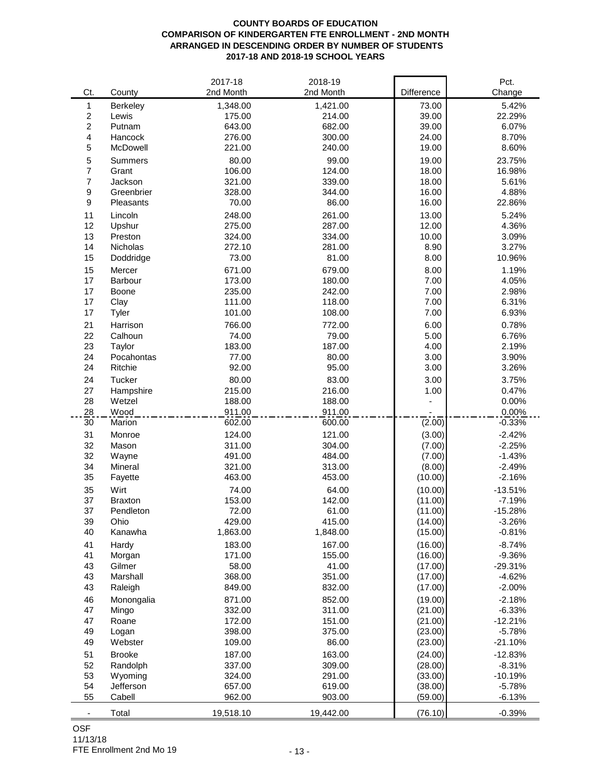## **COUNTY BOARDS OF EDUCATION COMPARISON OF KINDERGARTEN FTE ENROLLMENT - 2ND MONTH ARRANGED IN DESCENDING ORDER BY NUMBER OF STUDENTS 2017-18 AND 2018-19 SCHOOL YEARS**

|                |                | 2017-18          | 2018-19          |                  | Pct.                 |
|----------------|----------------|------------------|------------------|------------------|----------------------|
| Ct.            | County         | 2nd Month        | 2nd Month        | Difference       | Change               |
| 1              | Berkeley       | 1,348.00         | 1,421.00         | 73.00            | 5.42%                |
| $\overline{c}$ | Lewis          | 175.00           | 214.00           | 39.00            | 22.29%               |
| $\overline{c}$ | Putnam         | 643.00           | 682.00           | 39.00            | 6.07%                |
| 4              | Hancock        | 276.00           | 300.00           | 24.00            | 8.70%                |
| 5              | McDowell       | 221.00           | 240.00           | 19.00            | 8.60%                |
| 5              | Summers        | 80.00            | 99.00            | 19.00            | 23.75%               |
| $\overline{7}$ | Grant          | 106.00           | 124.00           | 18.00            | 16.98%               |
| $\overline{7}$ | Jackson        | 321.00           | 339.00           | 18.00            | 5.61%                |
| 9              | Greenbrier     | 328.00           | 344.00           | 16.00            | 4.88%                |
| 9              | Pleasants      | 70.00            | 86.00            | 16.00            | 22.86%               |
| 11             | Lincoln        | 248.00           | 261.00           | 13.00            | 5.24%                |
| 12             | Upshur         | 275.00           | 287.00           | 12.00            | 4.36%                |
| 13             | Preston        | 324.00           | 334.00           | 10.00            | 3.09%                |
| 14             | Nicholas       | 272.10           | 281.00           | 8.90             | 3.27%                |
| 15             | Doddridge      | 73.00            | 81.00            | 8.00             | 10.96%               |
| 15             | Mercer         | 671.00           | 679.00           | 8.00             | 1.19%                |
| 17             | Barbour        | 173.00           | 180.00           | 7.00             | 4.05%                |
| 17             | Boone          | 235.00           | 242.00           | 7.00             | 2.98%                |
| 17             | Clay           | 111.00           | 118.00           | 7.00             | 6.31%                |
| 17             | Tyler          | 101.00           | 108.00           | 7.00             | 6.93%                |
| 21             | Harrison       | 766.00           | 772.00           | 6.00             | 0.78%                |
| 22             | Calhoun        | 74.00            | 79.00            | 5.00             | 6.76%                |
| 23             | Taylor         | 183.00           | 187.00           | 4.00             | 2.19%                |
| 24             | Pocahontas     | 77.00            | 80.00            | 3.00             | 3.90%                |
| 24             | Ritchie        | 92.00            | 95.00            | 3.00             | 3.26%                |
|                |                |                  |                  |                  |                      |
| 24             | Tucker         | 80.00            | 83.00            | 3.00             | 3.75%                |
| 27             | Hampshire      | 215.00           | 216.00           | 1.00             | 0.47%                |
| 28<br>28       | Wetzel<br>Wood | 188.00           | 188.00<br>911.00 |                  | 0.00%<br>0.00%       |
| 30             | Marion         | 911.00<br>602.00 | 600.00           | (2.00)           | $-0.33%$             |
|                |                |                  |                  |                  |                      |
| 31             | Monroe         | 124.00           | 121.00           | (3.00)           | $-2.42%$             |
| 32             | Mason          | 311.00           | 304.00           | (7.00)           | $-2.25%$             |
| 32             | Wayne          | 491.00           | 484.00           | (7.00)<br>(8.00) | $-1.43%$             |
| 34             | Mineral        | 321.00           | 313.00           |                  | $-2.49%$<br>$-2.16%$ |
| 35             | Fayette        | 463.00           | 453.00           | (10.00)          |                      |
| 35             | Wirt           | 74.00            | 64.00            | (10.00)          | $-13.51%$            |
| 37             | <b>Braxton</b> | 153.00           | 142.00           | (11.00)          | $-7.19%$             |
| 37             | Pendleton      | 72.00            | 61.00            | (11.00)          | $-15.28%$            |
| 39             | Ohio           | 429.00           | 415.00           | (14.00)          | $-3.26%$             |
| 40             | Kanawha        | 1,863.00         | 1,848.00         | (15.00)          | $-0.81%$             |
| 41             | Hardy          | 183.00           | 167.00           | (16.00)          | $-8.74%$             |
| 41             | Morgan         | 171.00           | 155.00           | (16.00)          | $-9.36%$             |
| 43             | Gilmer         | 58.00            | 41.00            | (17.00)          | $-29.31%$            |
| 43             | Marshall       | 368.00           | 351.00           | (17.00)          | $-4.62%$             |
| 43             | Raleigh        | 849.00           | 832.00           | (17.00)          | $-2.00%$             |
| 46             | Monongalia     | 871.00           | 852.00           | (19.00)          | $-2.18%$             |
| 47             | Mingo          | 332.00           | 311.00           | (21.00)          | $-6.33%$             |
| 47             | Roane          | 172.00           | 151.00           | (21.00)          | $-12.21%$            |
| 49             | Logan          | 398.00           | 375.00           | (23.00)          | $-5.78%$             |
| 49             | Webster        | 109.00           | 86.00            | (23.00)          | $-21.10%$            |
| 51             | <b>Brooke</b>  | 187.00           | 163.00           | (24.00)          | $-12.83%$            |
| 52             | Randolph       | 337.00           | 309.00           | (28.00)          | $-8.31%$             |
| 53             | Wyoming        | 324.00           | 291.00           | (33.00)          | $-10.19%$            |
| 54             | Jefferson      | 657.00           | 619.00           | (38.00)          | $-5.78%$             |
| 55             | Cabell         | 962.00           | 903.00           | (59.00)          | $-6.13%$             |
| $\blacksquare$ | Total          | 19,518.10        | 19,442.00        | (76.10)          | $-0.39%$             |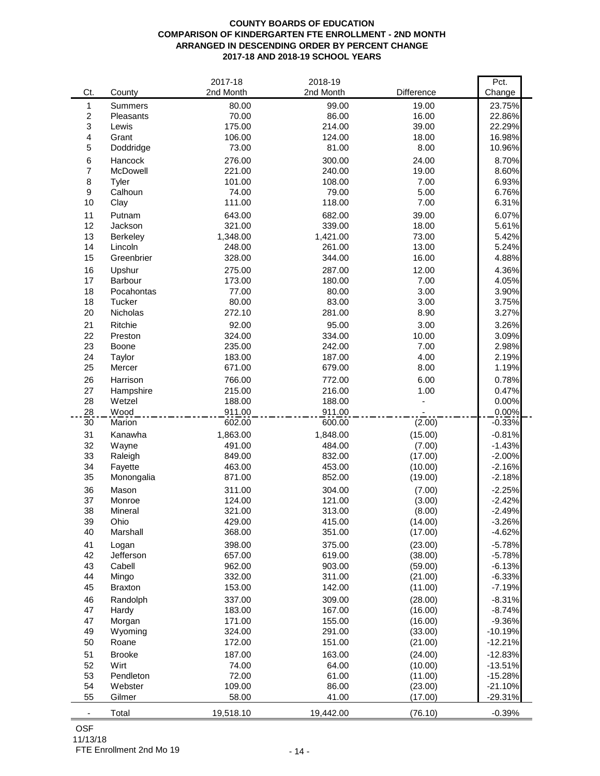## **COUNTY BOARDS OF EDUCATION COMPARISON OF KINDERGARTEN FTE ENROLLMENT - 2ND MONTH ARRANGED IN DESCENDING ORDER BY PERCENT CHANGE 2017-18 AND 2018-19 SCHOOL YEARS**

|                           |                | 2017-18   | 2018-19   |            | Pct.      |
|---------------------------|----------------|-----------|-----------|------------|-----------|
| Ct.                       | County         | 2nd Month | 2nd Month | Difference | Change    |
| 1                         | Summers        | 80.00     | 99.00     | 19.00      | 23.75%    |
| $\sqrt{2}$                | Pleasants      | 70.00     | 86.00     | 16.00      | 22.86%    |
| $\ensuremath{\mathsf{3}}$ | Lewis          | 175.00    | 214.00    | 39.00      | 22.29%    |
| 4                         | Grant          | 106.00    | 124.00    | 18.00      | 16.98%    |
| $\mathbf 5$               | Doddridge      | 73.00     | 81.00     | 8.00       | 10.96%    |
| 6                         | Hancock        | 276.00    | 300.00    | 24.00      | 8.70%     |
| $\overline{7}$            | McDowell       | 221.00    | 240.00    | 19.00      | 8.60%     |
| 8                         | Tyler          | 101.00    | 108.00    | 7.00       | 6.93%     |
| $\boldsymbol{9}$          | Calhoun        | 74.00     | 79.00     | 5.00       | 6.76%     |
| 10                        | Clay           | 111.00    | 118.00    | 7.00       | 6.31%     |
| 11                        | Putnam         | 643.00    | 682.00    | 39.00      | 6.07%     |
| 12                        | Jackson        | 321.00    | 339.00    | 18.00      | 5.61%     |
| 13                        | Berkeley       | 1,348.00  | 1,421.00  | 73.00      | 5.42%     |
| 14                        | Lincoln        | 248.00    | 261.00    | 13.00      | 5.24%     |
| 15                        | Greenbrier     | 328.00    | 344.00    | 16.00      | 4.88%     |
| 16                        | Upshur         | 275.00    | 287.00    | 12.00      | 4.36%     |
| 17                        | Barbour        | 173.00    | 180.00    | 7.00       | 4.05%     |
| 18                        | Pocahontas     | 77.00     | 80.00     | 3.00       | 3.90%     |
| 18                        | Tucker         | 80.00     | 83.00     | 3.00       | 3.75%     |
| 20                        | Nicholas       | 272.10    | 281.00    | 8.90       | 3.27%     |
| 21                        | Ritchie        | 92.00     | 95.00     | 3.00       | 3.26%     |
| 22                        | Preston        | 324.00    | 334.00    | 10.00      | 3.09%     |
| 23                        | Boone          | 235.00    | 242.00    | 7.00       | 2.98%     |
| 24                        | Taylor         | 183.00    | 187.00    | 4.00       | 2.19%     |
| 25                        | Mercer         | 671.00    | 679.00    | 8.00       | 1.19%     |
| 26                        | Harrison       | 766.00    | 772.00    | 6.00       | 0.78%     |
| 27                        | Hampshire      | 215.00    | 216.00    | 1.00       | 0.47%     |
| 28                        | Wetzel         | 188.00    | 188.00    |            | 0.00%     |
| 28                        | Wood           | 911.00    | 911.00    |            | 0.00%     |
| 30                        | Marion         | 602.00    | 600.00    | (2.00)     | $-0.33%$  |
| 31                        | Kanawha        | 1,863.00  | 1,848.00  | (15.00)    | $-0.81%$  |
| 32                        | Wayne          | 491.00    | 484.00    | (7.00)     | $-1.43%$  |
| 33                        | Raleigh        | 849.00    | 832.00    | (17.00)    | $-2.00%$  |
| 34                        | Fayette        | 463.00    | 453.00    | (10.00)    | $-2.16%$  |
| 35                        | Monongalia     | 871.00    | 852.00    | (19.00)    | $-2.18%$  |
| 36                        | Mason          | 311.00    | 304.00    | (7.00)     | $-2.25%$  |
| 37                        | Monroe         | 124.00    | 121.00    | (3.00)     | $-2.42%$  |
| 38                        | Mineral        | 321.00    | 313.00    | (8.00)     | $-2.49%$  |
| 39                        | Ohio           | 429.00    | 415.00    | (14.00)    | $-3.26%$  |
| 40                        | Marshall       | 368.00    | 351.00    | (17.00)    | $-4.62%$  |
| 41                        | Logan          | 398.00    | 375.00    | (23.00)    | $-5.78%$  |
| 42                        | Jefferson      | 657.00    | 619.00    | (38.00)    | $-5.78%$  |
| 43                        | Cabell         | 962.00    | 903.00    | (59.00)    | $-6.13%$  |
| 44                        | Mingo          | 332.00    | 311.00    | (21.00)    | $-6.33%$  |
| 45                        | <b>Braxton</b> | 153.00    | 142.00    | (11.00)    | $-7.19%$  |
| 46                        | Randolph       | 337.00    | 309.00    | (28.00)    | $-8.31%$  |
| 47                        | Hardy          | 183.00    | 167.00    | (16.00)    | $-8.74%$  |
| 47                        | Morgan         | 171.00    | 155.00    | (16.00)    | $-9.36%$  |
| 49                        | Wyoming        | 324.00    | 291.00    | (33.00)    | $-10.19%$ |
| 50                        | Roane          | 172.00    | 151.00    | (21.00)    | $-12.21%$ |
| 51                        | <b>Brooke</b>  | 187.00    | 163.00    | (24.00)    | $-12.83%$ |
| 52                        | Wirt           | 74.00     | 64.00     | (10.00)    | $-13.51%$ |
| 53                        | Pendleton      | 72.00     | 61.00     | (11.00)    | $-15.28%$ |
| 54                        | Webster        | 109.00    | 86.00     | (23.00)    | $-21.10%$ |
| 55                        | Gilmer         | 58.00     | 41.00     | (17.00)    | $-29.31%$ |
| $\blacksquare$            | Total          | 19,518.10 | 19,442.00 | (76.10)    | $-0.39%$  |